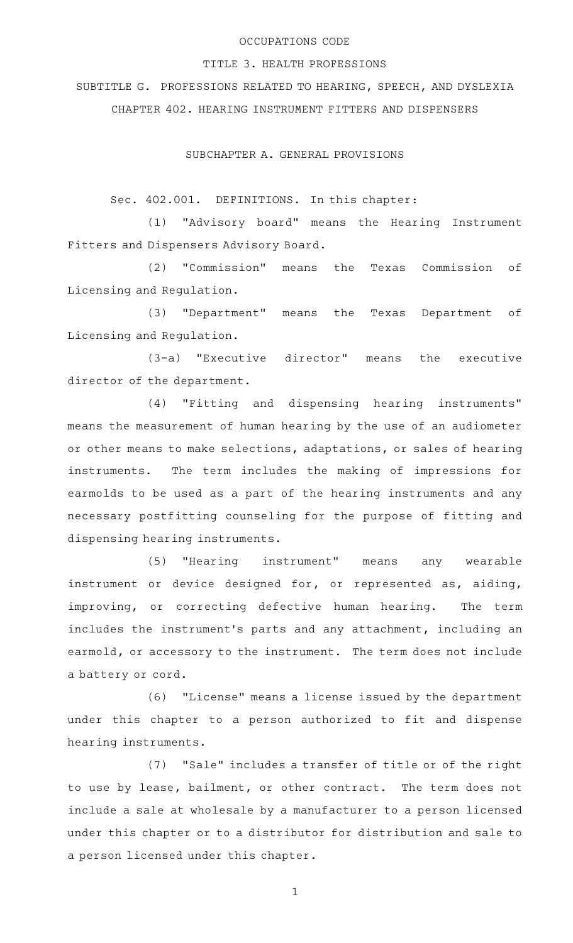#### OCCUPATIONS CODE

#### TITLE 3. HEALTH PROFESSIONS

SUBTITLE G. PROFESSIONS RELATED TO HEARING, SPEECH, AND DYSLEXIA CHAPTER 402. HEARING INSTRUMENT FITTERS AND DISPENSERS

SUBCHAPTER A. GENERAL PROVISIONS

Sec. 402.001. DEFINITIONS. In this chapter:

(1) "Advisory board" means the Hearing Instrument Fitters and Dispensers Advisory Board.

(2) "Commission" means the Texas Commission of Licensing and Regulation.

(3) "Department" means the Texas Department of Licensing and Regulation.

 $(3-a)$  "Executive director" means the executive director of the department.

(4) "Fitting and dispensing hearing instruments" means the measurement of human hearing by the use of an audiometer or other means to make selections, adaptations, or sales of hearing instruments. The term includes the making of impressions for earmolds to be used as a part of the hearing instruments and any necessary postfitting counseling for the purpose of fitting and dispensing hearing instruments.

(5) "Hearing instrument" means any wearable instrument or device designed for, or represented as, aiding, improving, or correcting defective human hearing. The term includes the instrument 's parts and any attachment, including an earmold, or accessory to the instrument. The term does not include a battery or cord.

(6) "License" means a license issued by the department under this chapter to a person authorized to fit and dispense hearing instruments.

(7) "Sale" includes a transfer of title or of the right to use by lease, bailment, or other contract. The term does not include a sale at wholesale by a manufacturer to a person licensed under this chapter or to a distributor for distribution and sale to a person licensed under this chapter.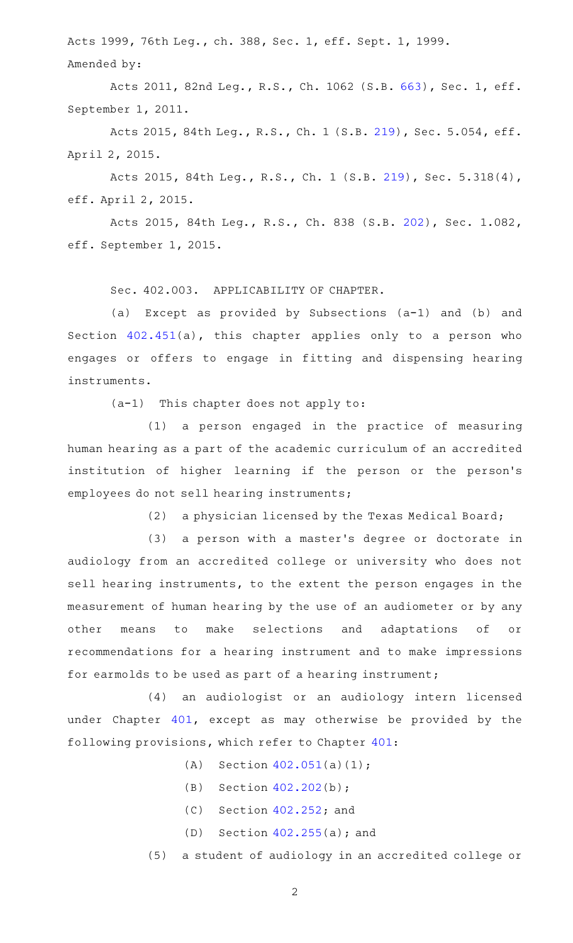Acts 1999, 76th Leg., ch. 388, Sec. 1, eff. Sept. 1, 1999. Amended by:

Acts 2011, 82nd Leg., R.S., Ch. 1062 (S.B. [663](http://www.legis.state.tx.us/tlodocs/82R/billtext/html/SB00663F.HTM)), Sec. 1, eff. September 1, 2011.

Acts 2015, 84th Leg., R.S., Ch. 1 (S.B. [219](http://www.legis.state.tx.us/tlodocs/84R/billtext/html/SB00219F.HTM)), Sec. 5.054, eff. April 2, 2015.

Acts 2015, 84th Leg., R.S., Ch. 1 (S.B. [219](http://www.legis.state.tx.us/tlodocs/84R/billtext/html/SB00219F.HTM)), Sec. 5.318(4), eff. April 2, 2015.

Acts 2015, 84th Leg., R.S., Ch. 838 (S.B. [202](http://www.legis.state.tx.us/tlodocs/84R/billtext/html/SB00202F.HTM)), Sec. 1.082, eff. September 1, 2015.

Sec. 402.003. APPLICABILITY OF CHAPTER.

(a) Except as provided by Subsections (a-1) and (b) and Section [402.451](http://www.statutes.legis.state.tx.us/GetStatute.aspx?Code=OC&Value=402.451)(a), this chapter applies only to a person who engages or offers to engage in fitting and dispensing hearing instruments.

 $(a-1)$  This chapter does not apply to:

 $(1)$  a person engaged in the practice of measuring human hearing as a part of the academic curriculum of an accredited institution of higher learning if the person or the person's employees do not sell hearing instruments;

(2) a physician licensed by the Texas Medical Board;

(3) a person with a master's degree or doctorate in audiology from an accredited college or university who does not sell hearing instruments, to the extent the person engages in the measurement of human hearing by the use of an audiometer or by any other means to make selections and adaptations of or recommendations for a hearing instrument and to make impressions for earmolds to be used as part of a hearing instrument;

(4) an audiologist or an audiology intern licensed under Chapter [401](http://www.statutes.legis.state.tx.us/GetStatute.aspx?Code=OC&Value=401), except as may otherwise be provided by the following provisions, which refer to Chapter [401](http://www.statutes.legis.state.tx.us/GetStatute.aspx?Code=OC&Value=401):

- (A) Section  $402.051(a)(1)$  $402.051(a)(1)$ ;
- (B) Section  $402.202(b)$  $402.202(b)$ ;
- $(C)$  Section [402.252](http://www.statutes.legis.state.tx.us/GetStatute.aspx?Code=OC&Value=402.252); and
- (D) Section  $402.255(a)$  $402.255(a)$ ; and

(5) a student of audiology in an accredited college or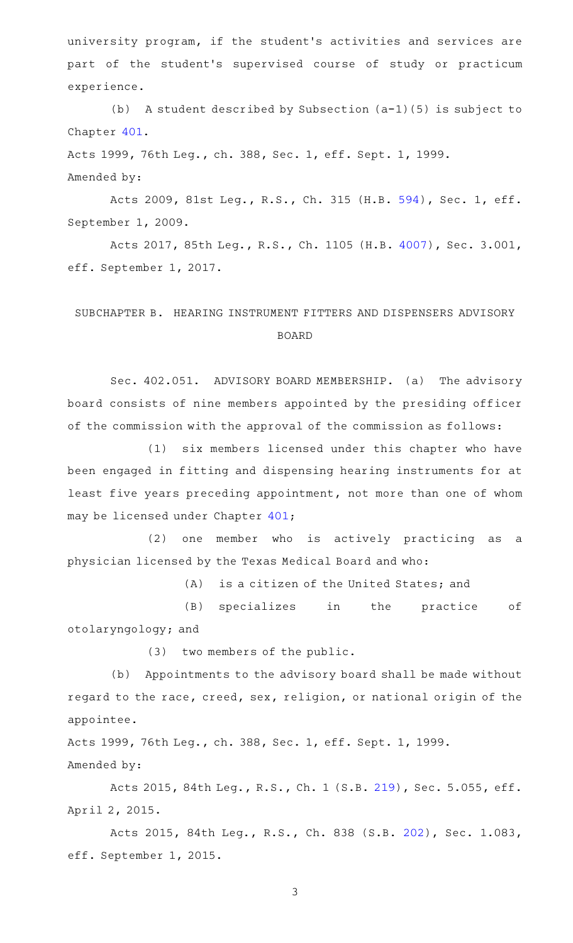university program, if the student 's activities and services are part of the student's supervised course of study or practicum experience.

(b) A student described by Subsection  $(a-1)(5)$  is subject to Chapter [401.](http://www.statutes.legis.state.tx.us/GetStatute.aspx?Code=OC&Value=401)

Acts 1999, 76th Leg., ch. 388, Sec. 1, eff. Sept. 1, 1999.

Amended by:

Acts 2009, 81st Leg., R.S., Ch. 315 (H.B. [594](http://www.legis.state.tx.us/tlodocs/81R/billtext/html/HB00594F.HTM)), Sec. 1, eff. September 1, 2009.

Acts 2017, 85th Leg., R.S., Ch. 1105 (H.B. [4007](http://www.legis.state.tx.us/tlodocs/85R/billtext/html/HB04007F.HTM)), Sec. 3.001, eff. September 1, 2017.

# SUBCHAPTER B. HEARING INSTRUMENT FITTERS AND DISPENSERS ADVISORY BOARD

Sec. 402.051. ADVISORY BOARD MEMBERSHIP. (a) The advisory board consists of nine members appointed by the presiding officer of the commission with the approval of the commission as follows:

(1) six members licensed under this chapter who have been engaged in fitting and dispensing hearing instruments for at least five years preceding appointment, not more than one of whom may be licensed under Chapter [401;](http://www.statutes.legis.state.tx.us/GetStatute.aspx?Code=OC&Value=401)

(2) one member who is actively practicing as a physician licensed by the Texas Medical Board and who:

(A) is a citizen of the United States; and

(B) specializes in the practice of otolaryngology; and

(3) two members of the public.

(b) Appointments to the advisory board shall be made without regard to the race, creed, sex, religion, or national origin of the appointee.

Acts 1999, 76th Leg., ch. 388, Sec. 1, eff. Sept. 1, 1999. Amended by:

Acts 2015, 84th Leg., R.S., Ch. 1 (S.B. [219](http://www.legis.state.tx.us/tlodocs/84R/billtext/html/SB00219F.HTM)), Sec. 5.055, eff. April 2, 2015.

Acts 2015, 84th Leg., R.S., Ch. 838 (S.B. [202](http://www.legis.state.tx.us/tlodocs/84R/billtext/html/SB00202F.HTM)), Sec. 1.083, eff. September 1, 2015.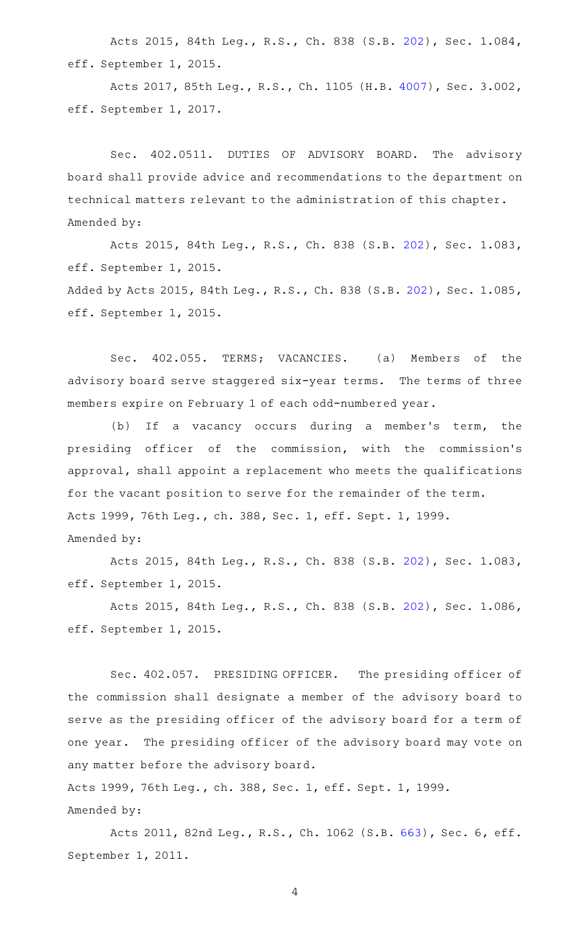Acts 2015, 84th Leg., R.S., Ch. 838 (S.B. [202](http://www.legis.state.tx.us/tlodocs/84R/billtext/html/SB00202F.HTM)), Sec. 1.084, eff. September 1, 2015.

Acts 2017, 85th Leg., R.S., Ch. 1105 (H.B. [4007](http://www.legis.state.tx.us/tlodocs/85R/billtext/html/HB04007F.HTM)), Sec. 3.002, eff. September 1, 2017.

Sec. 402.0511. DUTIES OF ADVISORY BOARD. The advisory board shall provide advice and recommendations to the department on technical matters relevant to the administration of this chapter. Amended by:

Acts 2015, 84th Leg., R.S., Ch. 838 (S.B. [202](http://www.legis.state.tx.us/tlodocs/84R/billtext/html/SB00202F.HTM)), Sec. 1.083, eff. September 1, 2015.

Added by Acts 2015, 84th Leg., R.S., Ch. 838 (S.B. [202\)](http://www.legis.state.tx.us/tlodocs/84R/billtext/html/SB00202F.HTM), Sec. 1.085, eff. September 1, 2015.

Sec. 402.055. TERMS; VACANCIES. (a) Members of the advisory board serve staggered six-year terms. The terms of three members expire on February 1 of each odd-numbered year.

(b) If a vacancy occurs during a member's term, the presiding officer of the commission, with the commission 's approval, shall appoint a replacement who meets the qualifications for the vacant position to serve for the remainder of the term. Acts 1999, 76th Leg., ch. 388, Sec. 1, eff. Sept. 1, 1999. Amended by:

Acts 2015, 84th Leg., R.S., Ch. 838 (S.B. [202](http://www.legis.state.tx.us/tlodocs/84R/billtext/html/SB00202F.HTM)), Sec. 1.083, eff. September 1, 2015.

Acts 2015, 84th Leg., R.S., Ch. 838 (S.B. [202](http://www.legis.state.tx.us/tlodocs/84R/billtext/html/SB00202F.HTM)), Sec. 1.086, eff. September 1, 2015.

Sec. 402.057. PRESIDING OFFICER. The presiding officer of the commission shall designate a member of the advisory board to serve as the presiding officer of the advisory board for a term of one year. The presiding officer of the advisory board may vote on any matter before the advisory board.

Acts 1999, 76th Leg., ch. 388, Sec. 1, eff. Sept. 1, 1999. Amended by:

Acts 2011, 82nd Leg., R.S., Ch. 1062 (S.B. [663](http://www.legis.state.tx.us/tlodocs/82R/billtext/html/SB00663F.HTM)), Sec. 6, eff. September 1, 2011.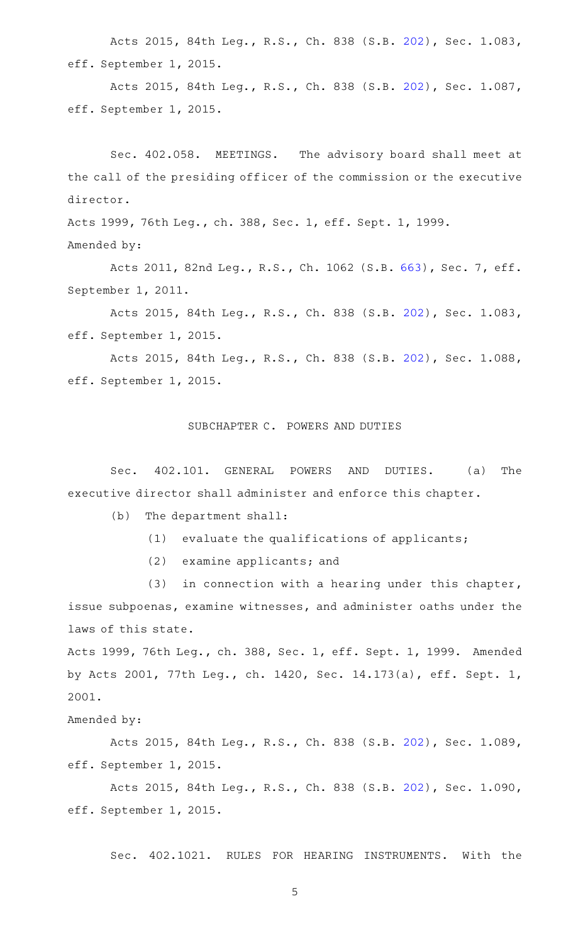Acts 2015, 84th Leg., R.S., Ch. 838 (S.B. [202](http://www.legis.state.tx.us/tlodocs/84R/billtext/html/SB00202F.HTM)), Sec. 1.083, eff. September 1, 2015.

Acts 2015, 84th Leg., R.S., Ch. 838 (S.B. [202](http://www.legis.state.tx.us/tlodocs/84R/billtext/html/SB00202F.HTM)), Sec. 1.087, eff. September 1, 2015.

Sec. 402.058. MEETINGS. The advisory board shall meet at the call of the presiding officer of the commission or the executive director.

Acts 1999, 76th Leg., ch. 388, Sec. 1, eff. Sept. 1, 1999. Amended by:

Acts 2011, 82nd Leg., R.S., Ch. 1062 (S.B. [663](http://www.legis.state.tx.us/tlodocs/82R/billtext/html/SB00663F.HTM)), Sec. 7, eff. September 1, 2011.

Acts 2015, 84th Leg., R.S., Ch. 838 (S.B. [202](http://www.legis.state.tx.us/tlodocs/84R/billtext/html/SB00202F.HTM)), Sec. 1.083, eff. September 1, 2015.

Acts 2015, 84th Leg., R.S., Ch. 838 (S.B. [202](http://www.legis.state.tx.us/tlodocs/84R/billtext/html/SB00202F.HTM)), Sec. 1.088, eff. September 1, 2015.

### SUBCHAPTER C. POWERS AND DUTIES

Sec. 402.101. GENERAL POWERS AND DUTIES. (a) The executive director shall administer and enforce this chapter.

- $(b)$  The department shall:
	- $(1)$  evaluate the qualifications of applicants;
	- $(2)$  examine applicants; and

 $(3)$  in connection with a hearing under this chapter, issue subpoenas, examine witnesses, and administer oaths under the laws of this state.

Acts 1999, 76th Leg., ch. 388, Sec. 1, eff. Sept. 1, 1999. Amended by Acts 2001, 77th Leg., ch. 1420, Sec. 14.173(a), eff. Sept. 1, 2001.

Amended by:

Acts 2015, 84th Leg., R.S., Ch. 838 (S.B. [202](http://www.legis.state.tx.us/tlodocs/84R/billtext/html/SB00202F.HTM)), Sec. 1.089, eff. September 1, 2015.

Acts 2015, 84th Leg., R.S., Ch. 838 (S.B. [202](http://www.legis.state.tx.us/tlodocs/84R/billtext/html/SB00202F.HTM)), Sec. 1.090, eff. September 1, 2015.

Sec. 402.1021. RULES FOR HEARING INSTRUMENTS. With the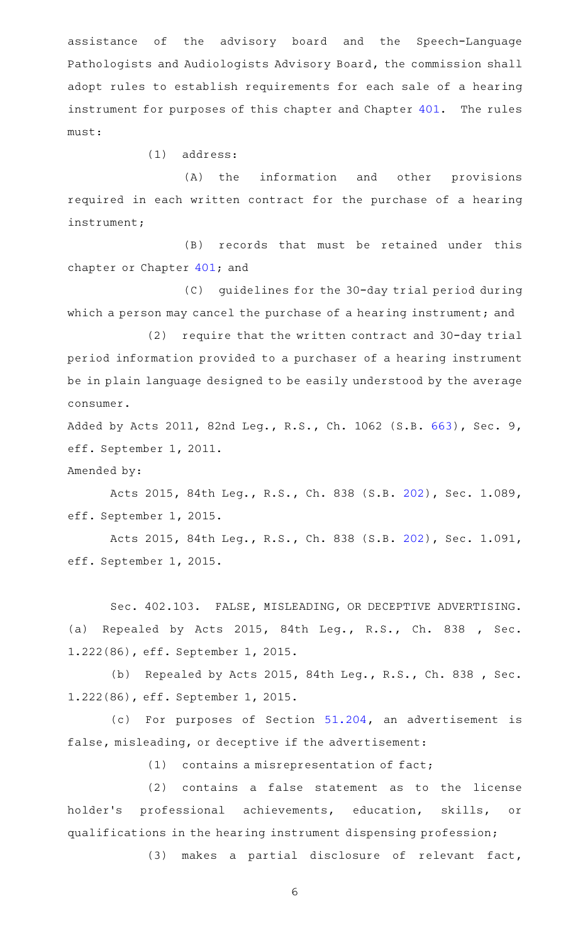assistance of the advisory board and the Speech-Language Pathologists and Audiologists Advisory Board, the commission shall adopt rules to establish requirements for each sale of a hearing instrument for purposes of this chapter and Chapter [401.](http://www.statutes.legis.state.tx.us/GetStatute.aspx?Code=OC&Value=401) The rules must:

 $(1)$  address:

(A) the information and other provisions required in each written contract for the purchase of a hearing instrument;

(B) records that must be retained under this chapter or Chapter [401;](http://www.statutes.legis.state.tx.us/GetStatute.aspx?Code=OC&Value=401) and

(C) guidelines for the 30-day trial period during which a person may cancel the purchase of a hearing instrument; and

(2) require that the written contract and 30-day trial period information provided to a purchaser of a hearing instrument be in plain language designed to be easily understood by the average consumer.

Added by Acts 2011, 82nd Leg., R.S., Ch. 1062 (S.B. [663](http://www.legis.state.tx.us/tlodocs/82R/billtext/html/SB00663F.HTM)), Sec. 9, eff. September 1, 2011.

Amended by:

Acts 2015, 84th Leg., R.S., Ch. 838 (S.B. [202](http://www.legis.state.tx.us/tlodocs/84R/billtext/html/SB00202F.HTM)), Sec. 1.089, eff. September 1, 2015.

Acts 2015, 84th Leg., R.S., Ch. 838 (S.B. [202](http://www.legis.state.tx.us/tlodocs/84R/billtext/html/SB00202F.HTM)), Sec. 1.091, eff. September 1, 2015.

Sec. 402.103. FALSE, MISLEADING, OR DECEPTIVE ADVERTISING. (a) Repealed by Acts 2015, 84th Leg., R.S., Ch. 838 , Sec. 1.222(86), eff. September 1, 2015.

(b) Repealed by Acts 2015, 84th Leg., R.S., Ch. 838, Sec. 1.222(86), eff. September 1, 2015.

(c) For purposes of Section  $51.204$ , an advertisement is false, misleading, or deceptive if the advertisement:

 $(1)$  contains a misrepresentation of fact;

(2) contains a false statement as to the license holder 's professional achievements, education, skills, or qualifications in the hearing instrument dispensing profession;

(3) makes a partial disclosure of relevant fact,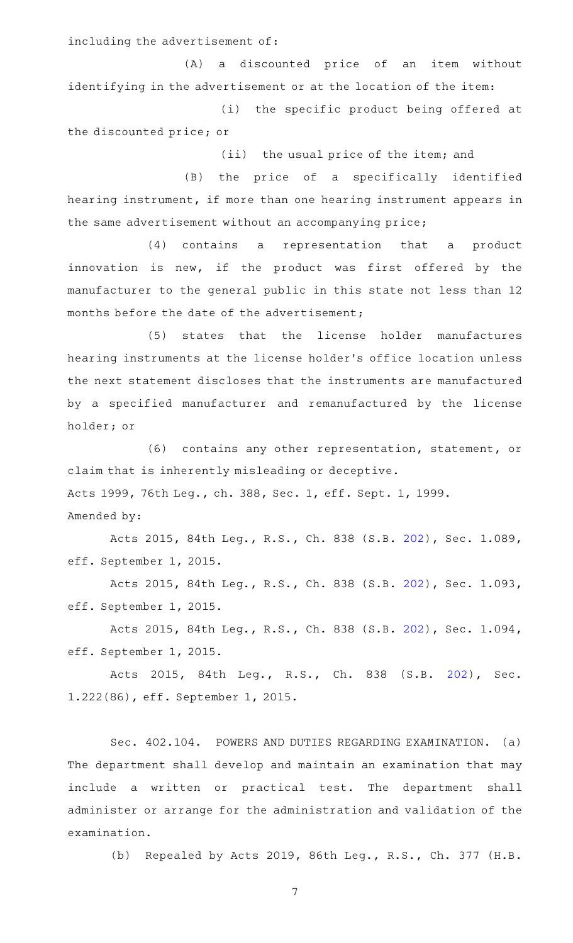including the advertisement of:

(A) a discounted price of an item without identifying in the advertisement or at the location of the item:

(i) the specific product being offered at the discounted price; or

(ii) the usual price of the item; and

(B) the price of a specifically identified hearing instrument, if more than one hearing instrument appears in the same advertisement without an accompanying price;

(4) contains a representation that a product innovation is new, if the product was first offered by the manufacturer to the general public in this state not less than 12 months before the date of the advertisement;

(5) states that the license holder manufactures hearing instruments at the license holder 's office location unless the next statement discloses that the instruments are manufactured by a specified manufacturer and remanufactured by the license holder; or

(6) contains any other representation, statement, or claim that is inherently misleading or deceptive. Acts 1999, 76th Leg., ch. 388, Sec. 1, eff. Sept. 1, 1999. Amended by:

Acts 2015, 84th Leg., R.S., Ch. 838 (S.B. [202](http://www.legis.state.tx.us/tlodocs/84R/billtext/html/SB00202F.HTM)), Sec. 1.089, eff. September 1, 2015.

Acts 2015, 84th Leg., R.S., Ch. 838 (S.B. [202](http://www.legis.state.tx.us/tlodocs/84R/billtext/html/SB00202F.HTM)), Sec. 1.093, eff. September 1, 2015.

Acts 2015, 84th Leg., R.S., Ch. 838 (S.B. [202](http://www.legis.state.tx.us/tlodocs/84R/billtext/html/SB00202F.HTM)), Sec. 1.094, eff. September 1, 2015.

Acts 2015, 84th Leg., R.S., Ch. 838 (S.B. [202\)](http://www.legis.state.tx.us/tlodocs/84R/billtext/html/SB00202F.HTM), Sec. 1.222(86), eff. September 1, 2015.

Sec. 402.104. POWERS AND DUTIES REGARDING EXAMINATION. (a) The department shall develop and maintain an examination that may include a written or practical test. The department shall administer or arrange for the administration and validation of the examination.

(b) Repealed by Acts 2019, 86th Leg., R.S., Ch. 377 (H.B.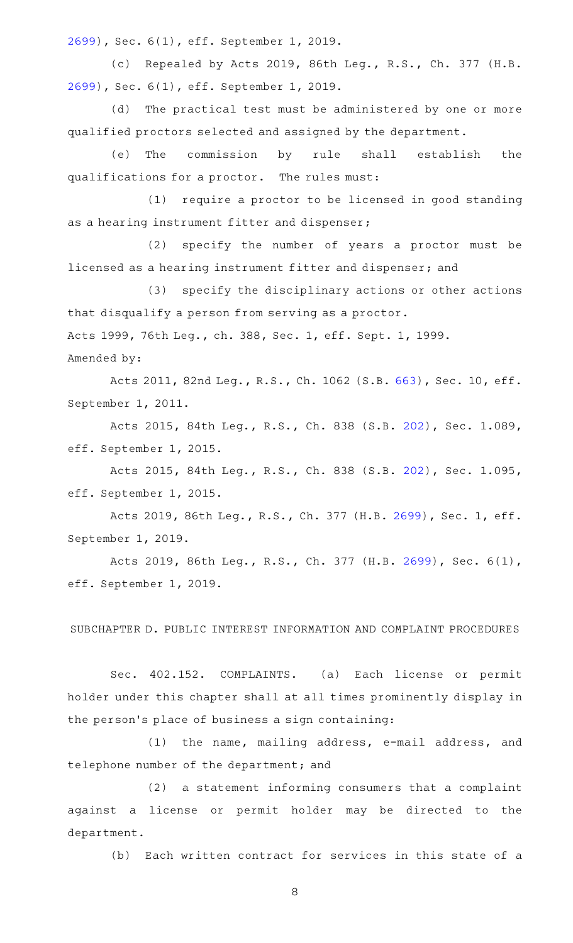[2699](http://www.legis.state.tx.us/tlodocs/86R/billtext/html/HB02699F.HTM)), Sec. 6(1), eff. September 1, 2019.

(c) Repealed by Acts 2019, 86th Leg., R.S., Ch. 377 (H.B. [2699](http://www.legis.state.tx.us/tlodocs/86R/billtext/html/HB02699F.HTM)), Sec. 6(1), eff. September 1, 2019.

(d) The practical test must be administered by one or more qualified proctors selected and assigned by the department.

(e) The commission by rule shall establish the qualifications for a proctor. The rules must:

(1) require a proctor to be licensed in good standing as a hearing instrument fitter and dispenser;

(2) specify the number of years a proctor must be licensed as a hearing instrument fitter and dispenser; and

(3) specify the disciplinary actions or other actions that disqualify a person from serving as a proctor. Acts 1999, 76th Leg., ch. 388, Sec. 1, eff. Sept. 1, 1999. Amended by:

Acts 2011, 82nd Leg., R.S., Ch. 1062 (S.B. [663\)](http://www.legis.state.tx.us/tlodocs/82R/billtext/html/SB00663F.HTM), Sec. 10, eff. September 1, 2011.

Acts 2015, 84th Leg., R.S., Ch. 838 (S.B. [202](http://www.legis.state.tx.us/tlodocs/84R/billtext/html/SB00202F.HTM)), Sec. 1.089, eff. September 1, 2015.

Acts 2015, 84th Leg., R.S., Ch. 838 (S.B. [202](http://www.legis.state.tx.us/tlodocs/84R/billtext/html/SB00202F.HTM)), Sec. 1.095, eff. September 1, 2015.

Acts 2019, 86th Leg., R.S., Ch. 377 (H.B. [2699](http://www.legis.state.tx.us/tlodocs/86R/billtext/html/HB02699F.HTM)), Sec. 1, eff. September 1, 2019.

Acts 2019, 86th Leg., R.S., Ch. 377 (H.B. [2699\)](http://www.legis.state.tx.us/tlodocs/86R/billtext/html/HB02699F.HTM), Sec. 6(1), eff. September 1, 2019.

SUBCHAPTER D. PUBLIC INTEREST INFORMATION AND COMPLAINT PROCEDURES

Sec. 402.152. COMPLAINTS. (a) Each license or permit holder under this chapter shall at all times prominently display in the person 's place of business a sign containing:

(1) the name, mailing address, e-mail address, and telephone number of the department; and

 $(2)$  a statement informing consumers that a complaint against a license or permit holder may be directed to the department.

(b) Each written contract for services in this state of a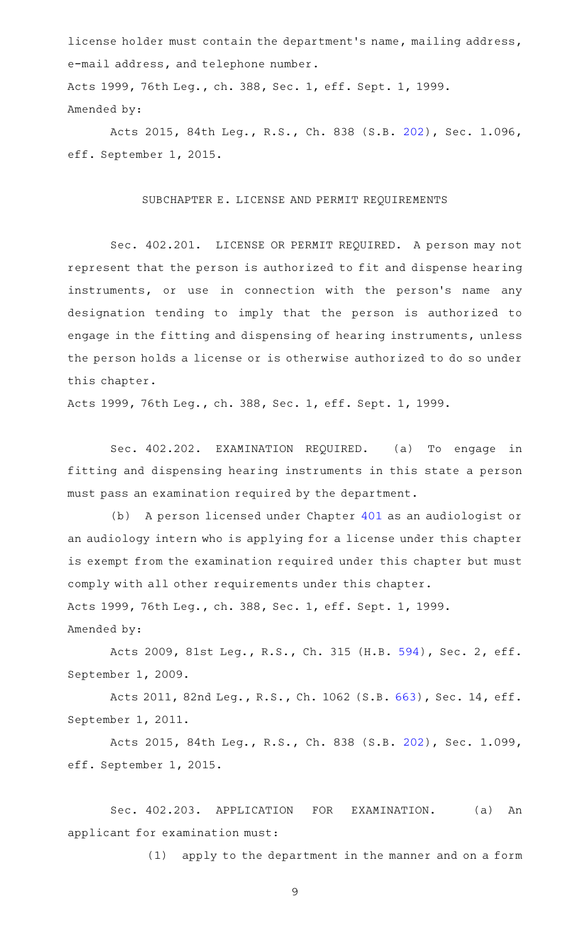license holder must contain the department 's name, mailing address, e-mail address, and telephone number.

Acts 1999, 76th Leg., ch. 388, Sec. 1, eff. Sept. 1, 1999. Amended by:

Acts 2015, 84th Leg., R.S., Ch. 838 (S.B. [202](http://www.legis.state.tx.us/tlodocs/84R/billtext/html/SB00202F.HTM)), Sec. 1.096, eff. September 1, 2015.

#### SUBCHAPTER E. LICENSE AND PERMIT REQUIREMENTS

Sec. 402.201. LICENSE OR PERMIT REQUIRED. A person may not represent that the person is authorized to fit and dispense hearing instruments, or use in connection with the person's name any designation tending to imply that the person is authorized to engage in the fitting and dispensing of hearing instruments, unless the person holds a license or is otherwise authorized to do so under this chapter.

Acts 1999, 76th Leg., ch. 388, Sec. 1, eff. Sept. 1, 1999.

Sec. 402.202. EXAMINATION REQUIRED. (a) To engage in fitting and dispensing hearing instruments in this state a person must pass an examination required by the department.

(b) A person licensed under Chapter [401](http://www.statutes.legis.state.tx.us/GetStatute.aspx?Code=OC&Value=401) as an audiologist or an audiology intern who is applying for a license under this chapter is exempt from the examination required under this chapter but must comply with all other requirements under this chapter. Acts 1999, 76th Leg., ch. 388, Sec. 1, eff. Sept. 1, 1999. Amended by:

Acts 2009, 81st Leg., R.S., Ch. 315 (H.B. [594](http://www.legis.state.tx.us/tlodocs/81R/billtext/html/HB00594F.HTM)), Sec. 2, eff. September 1, 2009.

Acts 2011, 82nd Leg., R.S., Ch. 1062 (S.B. [663\)](http://www.legis.state.tx.us/tlodocs/82R/billtext/html/SB00663F.HTM), Sec. 14, eff. September 1, 2011.

Acts 2015, 84th Leg., R.S., Ch. 838 (S.B. [202](http://www.legis.state.tx.us/tlodocs/84R/billtext/html/SB00202F.HTM)), Sec. 1.099, eff. September 1, 2015.

Sec. 402.203. APPLICATION FOR EXAMINATION. (a) An applicant for examination must:

(1) apply to the department in the manner and on a form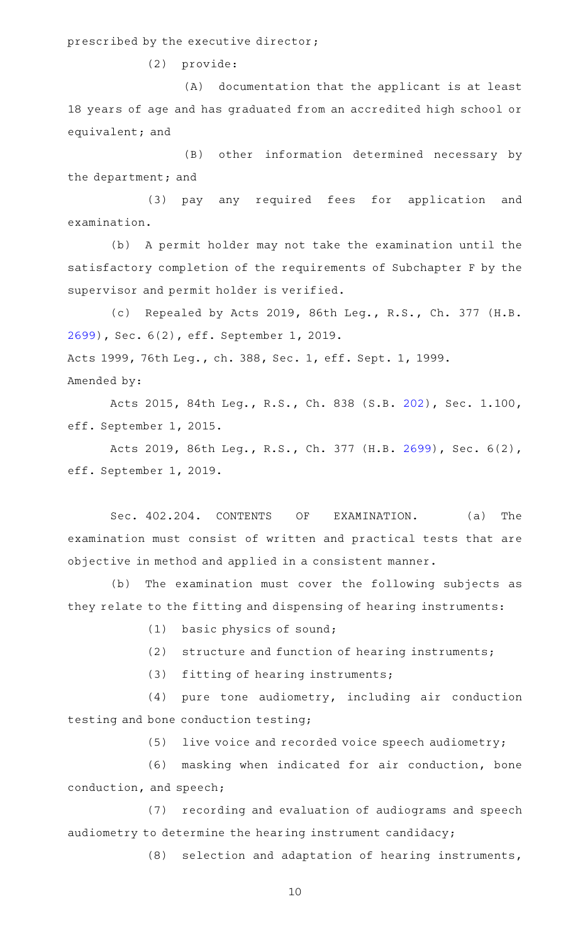prescribed by the executive director;

(2) provide:

(A) documentation that the applicant is at least 18 years of age and has graduated from an accredited high school or equivalent; and

(B) other information determined necessary by the department; and

(3) pay any required fees for application and examination.

(b) A permit holder may not take the examination until the satisfactory completion of the requirements of Subchapter F by the supervisor and permit holder is verified.

(c) Repealed by Acts 2019, 86th Leg., R.S., Ch. 377 (H.B. [2699](http://www.legis.state.tx.us/tlodocs/86R/billtext/html/HB02699F.HTM)), Sec. 6(2), eff. September 1, 2019. Acts 1999, 76th Leg., ch. 388, Sec. 1, eff. Sept. 1, 1999. Amended by:

Acts 2015, 84th Leg., R.S., Ch. 838 (S.B. [202](http://www.legis.state.tx.us/tlodocs/84R/billtext/html/SB00202F.HTM)), Sec. 1.100, eff. September 1, 2015.

Acts 2019, 86th Leg., R.S., Ch. 377 (H.B. [2699\)](http://www.legis.state.tx.us/tlodocs/86R/billtext/html/HB02699F.HTM), Sec. 6(2), eff. September 1, 2019.

Sec. 402.204. CONTENTS OF EXAMINATION. (a) The examination must consist of written and practical tests that are objective in method and applied in a consistent manner.

(b) The examination must cover the following subjects as they relate to the fitting and dispensing of hearing instruments:

 $(1)$  basic physics of sound;

(2) structure and function of hearing instruments;

(3) fitting of hearing instruments;

 $(4)$  pure tone audiometry, including air conduction testing and bone conduction testing;

(5) live voice and recorded voice speech audiometry;

(6) masking when indicated for air conduction, bone conduction, and speech;

(7) recording and evaluation of audiograms and speech audiometry to determine the hearing instrument candidacy;

(8) selection and adaptation of hearing instruments,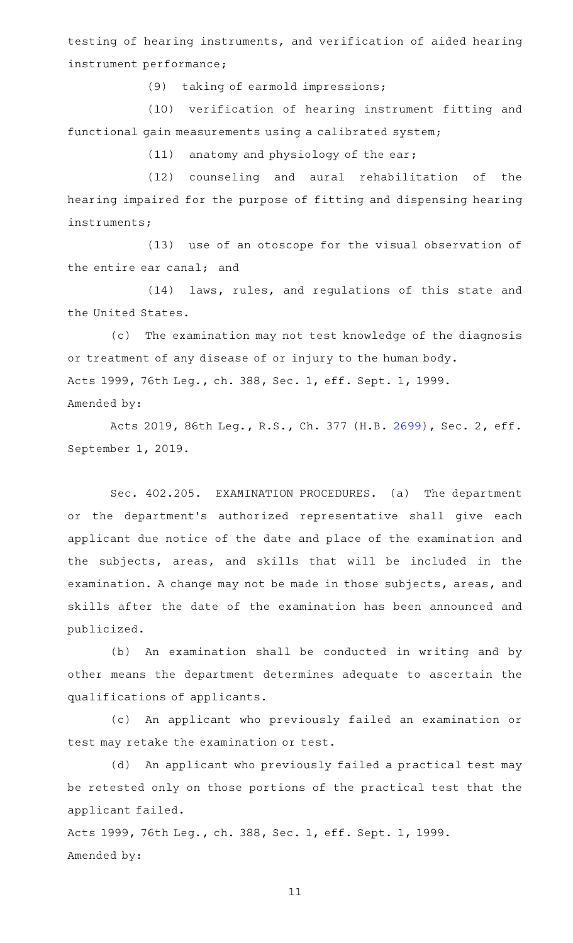testing of hearing instruments, and verification of aided hearing instrument performance;

(9) taking of earmold impressions;

(10) verification of hearing instrument fitting and functional gain measurements using a calibrated system;

 $(11)$  anatomy and physiology of the ear;

(12) counseling and aural rehabilitation of the hearing impaired for the purpose of fitting and dispensing hearing instruments;

(13) use of an otoscope for the visual observation of the entire ear canal; and

(14) laws, rules, and regulations of this state and the United States.

(c) The examination may not test knowledge of the diagnosis or treatment of any disease of or injury to the human body. Acts 1999, 76th Leg., ch. 388, Sec. 1, eff. Sept. 1, 1999. Amended by:

Acts 2019, 86th Leg., R.S., Ch. 377 (H.B. [2699](http://www.legis.state.tx.us/tlodocs/86R/billtext/html/HB02699F.HTM)), Sec. 2, eff. September 1, 2019.

Sec. 402.205. EXAMINATION PROCEDURES. (a) The department or the department 's authorized representative shall give each applicant due notice of the date and place of the examination and the subjects, areas, and skills that will be included in the examination. A change may not be made in those subjects, areas, and skills after the date of the examination has been announced and publicized.

(b) An examination shall be conducted in writing and by other means the department determines adequate to ascertain the qualifications of applicants.

(c) An applicant who previously failed an examination or test may retake the examination or test.

(d) An applicant who previously failed a practical test may be retested only on those portions of the practical test that the applicant failed.

Acts 1999, 76th Leg., ch. 388, Sec. 1, eff. Sept. 1, 1999. Amended by: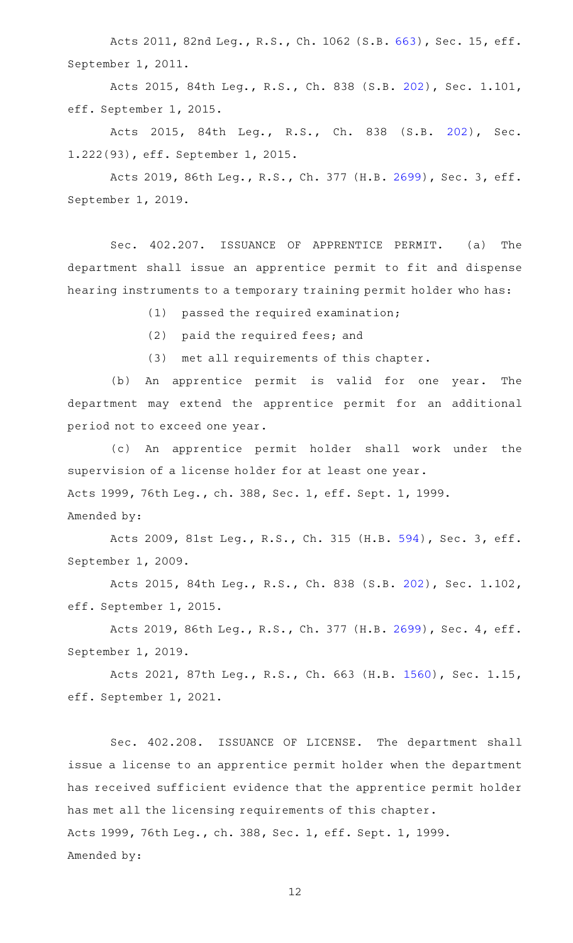Acts 2011, 82nd Leg., R.S., Ch. 1062 (S.B. [663\)](http://www.legis.state.tx.us/tlodocs/82R/billtext/html/SB00663F.HTM), Sec. 15, eff. September 1, 2011.

Acts 2015, 84th Leg., R.S., Ch. 838 (S.B. [202](http://www.legis.state.tx.us/tlodocs/84R/billtext/html/SB00202F.HTM)), Sec. 1.101, eff. September 1, 2015.

Acts 2015, 84th Leg., R.S., Ch. 838 (S.B. [202\)](http://www.legis.state.tx.us/tlodocs/84R/billtext/html/SB00202F.HTM), Sec. 1.222(93), eff. September 1, 2015.

Acts 2019, 86th Leg., R.S., Ch. 377 (H.B. [2699](http://www.legis.state.tx.us/tlodocs/86R/billtext/html/HB02699F.HTM)), Sec. 3, eff. September 1, 2019.

Sec. 402.207. ISSUANCE OF APPRENTICE PERMIT. (a) The department shall issue an apprentice permit to fit and dispense hearing instruments to a temporary training permit holder who has:

(1) passed the required examination;

(2) paid the required fees; and

(3) met all requirements of this chapter.

(b) An apprentice permit is valid for one year. The department may extend the apprentice permit for an additional period not to exceed one year.

(c) An apprentice permit holder shall work under the supervision of a license holder for at least one year. Acts 1999, 76th Leg., ch. 388, Sec. 1, eff. Sept. 1, 1999. Amended by:

Acts 2009, 81st Leg., R.S., Ch. 315 (H.B. [594](http://www.legis.state.tx.us/tlodocs/81R/billtext/html/HB00594F.HTM)), Sec. 3, eff. September 1, 2009.

Acts 2015, 84th Leg., R.S., Ch. 838 (S.B. [202](http://www.legis.state.tx.us/tlodocs/84R/billtext/html/SB00202F.HTM)), Sec. 1.102, eff. September 1, 2015.

Acts 2019, 86th Leg., R.S., Ch. 377 (H.B. [2699](http://www.legis.state.tx.us/tlodocs/86R/billtext/html/HB02699F.HTM)), Sec. 4, eff. September 1, 2019.

Acts 2021, 87th Leg., R.S., Ch. 663 (H.B. [1560\)](http://www.legis.state.tx.us/tlodocs/87R/billtext/html/HB01560F.HTM), Sec. 1.15, eff. September 1, 2021.

Sec. 402.208. ISSUANCE OF LICENSE. The department shall issue a license to an apprentice permit holder when the department has received sufficient evidence that the apprentice permit holder has met all the licensing requirements of this chapter. Acts 1999, 76th Leg., ch. 388, Sec. 1, eff. Sept. 1, 1999. Amended by: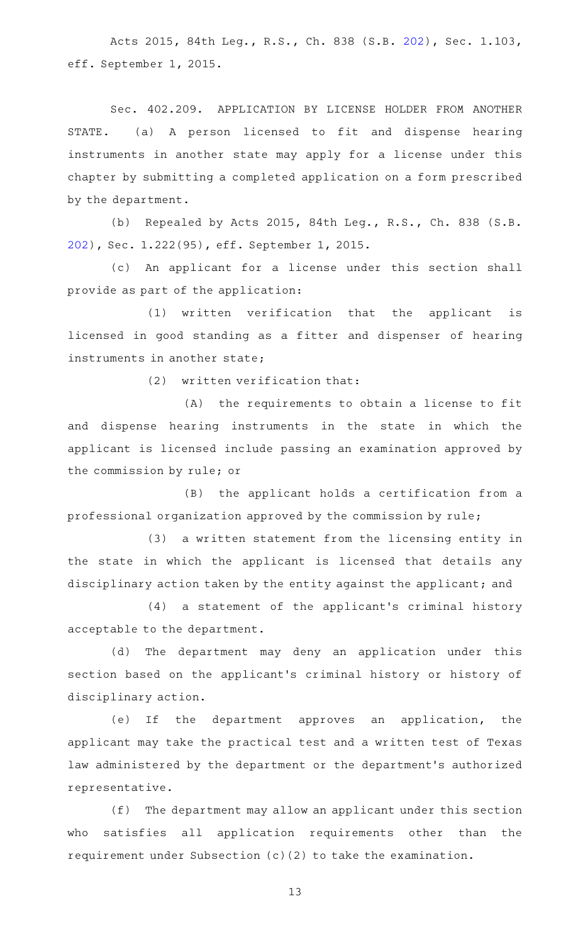Acts 2015, 84th Leg., R.S., Ch. 838 (S.B. [202](http://www.legis.state.tx.us/tlodocs/84R/billtext/html/SB00202F.HTM)), Sec. 1.103, eff. September 1, 2015.

Sec. 402.209. APPLICATION BY LICENSE HOLDER FROM ANOTHER STATE. (a) A person licensed to fit and dispense hearing instruments in another state may apply for a license under this chapter by submitting a completed application on a form prescribed by the department.

(b) Repealed by Acts 2015, 84th Leg., R.S., Ch. 838 (S.B. [202\)](http://www.legis.state.tx.us/tlodocs/84R/billtext/html/SB00202F.HTM), Sec. 1.222(95), eff. September 1, 2015.

(c) An applicant for a license under this section shall provide as part of the application:

 $(1)$  written verification that the applicant is licensed in good standing as a fitter and dispenser of hearing instruments in another state;

 $(2)$  written verification that:

(A) the requirements to obtain a license to fit and dispense hearing instruments in the state in which the applicant is licensed include passing an examination approved by the commission by rule; or

(B) the applicant holds a certification from a professional organization approved by the commission by rule;

(3) a written statement from the licensing entity in the state in which the applicant is licensed that details any disciplinary action taken by the entity against the applicant; and

(4) a statement of the applicant's criminal history acceptable to the department.

(d) The department may deny an application under this section based on the applicant 's criminal history or history of disciplinary action.

(e) If the department approves an application, the applicant may take the practical test and a written test of Texas law administered by the department or the department 's authorized representative.

(f) The department may allow an applicant under this section who satisfies all application requirements other than the requirement under Subsection (c)(2) to take the examination.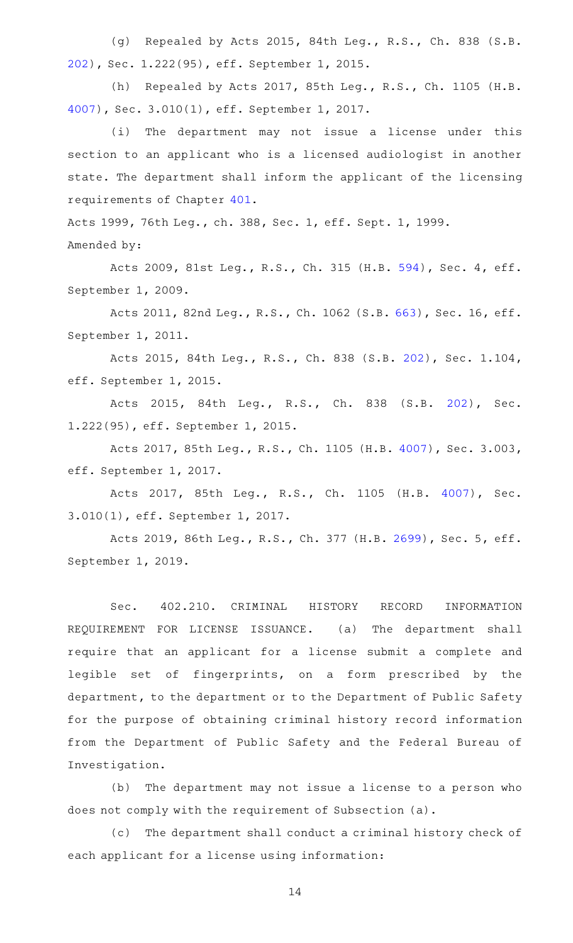(g) Repealed by Acts 2015, 84th Leg., R.S., Ch. 838 (S.B. [202\)](http://www.legis.state.tx.us/tlodocs/84R/billtext/html/SB00202F.HTM), Sec. 1.222(95), eff. September 1, 2015.

(h) Repealed by Acts 2017, 85th Leg., R.S., Ch. 1105 (H.B. [4007](http://www.legis.state.tx.us/tlodocs/85R/billtext/html/HB04007F.HTM)), Sec. 3.010(1), eff. September 1, 2017.

(i) The department may not issue a license under this section to an applicant who is a licensed audiologist in another state. The department shall inform the applicant of the licensing requirements of Chapter [401](http://www.statutes.legis.state.tx.us/GetStatute.aspx?Code=OC&Value=401).

Acts 1999, 76th Leg., ch. 388, Sec. 1, eff. Sept. 1, 1999. Amended by:

Acts 2009, 81st Leg., R.S., Ch. 315 (H.B. [594](http://www.legis.state.tx.us/tlodocs/81R/billtext/html/HB00594F.HTM)), Sec. 4, eff. September 1, 2009.

Acts 2011, 82nd Leg., R.S., Ch. 1062 (S.B. [663\)](http://www.legis.state.tx.us/tlodocs/82R/billtext/html/SB00663F.HTM), Sec. 16, eff. September 1, 2011.

Acts 2015, 84th Leg., R.S., Ch. 838 (S.B. [202](http://www.legis.state.tx.us/tlodocs/84R/billtext/html/SB00202F.HTM)), Sec. 1.104, eff. September 1, 2015.

Acts 2015, 84th Leg., R.S., Ch. 838 (S.B. [202\)](http://www.legis.state.tx.us/tlodocs/84R/billtext/html/SB00202F.HTM), Sec. 1.222(95), eff. September 1, 2015.

Acts 2017, 85th Leg., R.S., Ch. 1105 (H.B. [4007](http://www.legis.state.tx.us/tlodocs/85R/billtext/html/HB04007F.HTM)), Sec. 3.003, eff. September 1, 2017.

Acts 2017, 85th Leg., R.S., Ch. 1105 (H.B. [4007\)](http://www.legis.state.tx.us/tlodocs/85R/billtext/html/HB04007F.HTM), Sec. 3.010(1), eff. September 1, 2017.

Acts 2019, 86th Leg., R.S., Ch. 377 (H.B. [2699](http://www.legis.state.tx.us/tlodocs/86R/billtext/html/HB02699F.HTM)), Sec. 5, eff. September 1, 2019.

Sec. 402.210. CRIMINAL HISTORY RECORD INFORMATION REQUIREMENT FOR LICENSE ISSUANCE. (a) The department shall require that an applicant for a license submit a complete and legible set of fingerprints, on a form prescribed by the department, to the department or to the Department of Public Safety for the purpose of obtaining criminal history record information from the Department of Public Safety and the Federal Bureau of Investigation.

(b) The department may not issue a license to a person who does not comply with the requirement of Subsection (a).

(c) The department shall conduct a criminal history check of each applicant for a license using information: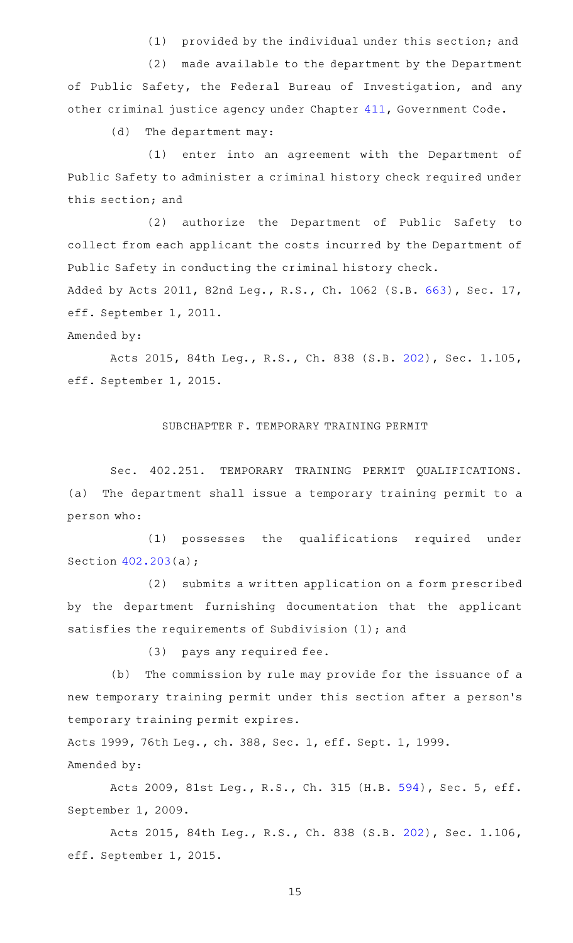(1) provided by the individual under this section; and

(2) made available to the department by the Department of Public Safety, the Federal Bureau of Investigation, and any other criminal justice agency under Chapter [411,](http://www.statutes.legis.state.tx.us/GetStatute.aspx?Code=GV&Value=411) Government Code.

(d) The department may:

(1) enter into an agreement with the Department of Public Safety to administer a criminal history check required under this section; and

(2) authorize the Department of Public Safety to collect from each applicant the costs incurred by the Department of Public Safety in conducting the criminal history check.

Added by Acts 2011, 82nd Leg., R.S., Ch. 1062 (S.B. [663\)](http://www.legis.state.tx.us/tlodocs/82R/billtext/html/SB00663F.HTM), Sec. 17, eff. September 1, 2011.

Amended by:

Acts 2015, 84th Leg., R.S., Ch. 838 (S.B. [202](http://www.legis.state.tx.us/tlodocs/84R/billtext/html/SB00202F.HTM)), Sec. 1.105, eff. September 1, 2015.

### SUBCHAPTER F. TEMPORARY TRAINING PERMIT

Sec. 402.251. TEMPORARY TRAINING PERMIT QUALIFICATIONS. (a) The department shall issue a temporary training permit to a person who:

(1) possesses the qualifications required under Section [402.203\(](http://www.statutes.legis.state.tx.us/GetStatute.aspx?Code=OC&Value=402.203)a);

(2) submits a written application on a form prescribed by the department furnishing documentation that the applicant satisfies the requirements of Subdivision (1); and

(3) pays any required fee.

(b) The commission by rule may provide for the issuance of a new temporary training permit under this section after a person 's temporary training permit expires.

Acts 1999, 76th Leg., ch. 388, Sec. 1, eff. Sept. 1, 1999. Amended by:

Acts 2009, 81st Leg., R.S., Ch. 315 (H.B. [594](http://www.legis.state.tx.us/tlodocs/81R/billtext/html/HB00594F.HTM)), Sec. 5, eff. September 1, 2009.

Acts 2015, 84th Leg., R.S., Ch. 838 (S.B. [202](http://www.legis.state.tx.us/tlodocs/84R/billtext/html/SB00202F.HTM)), Sec. 1.106, eff. September 1, 2015.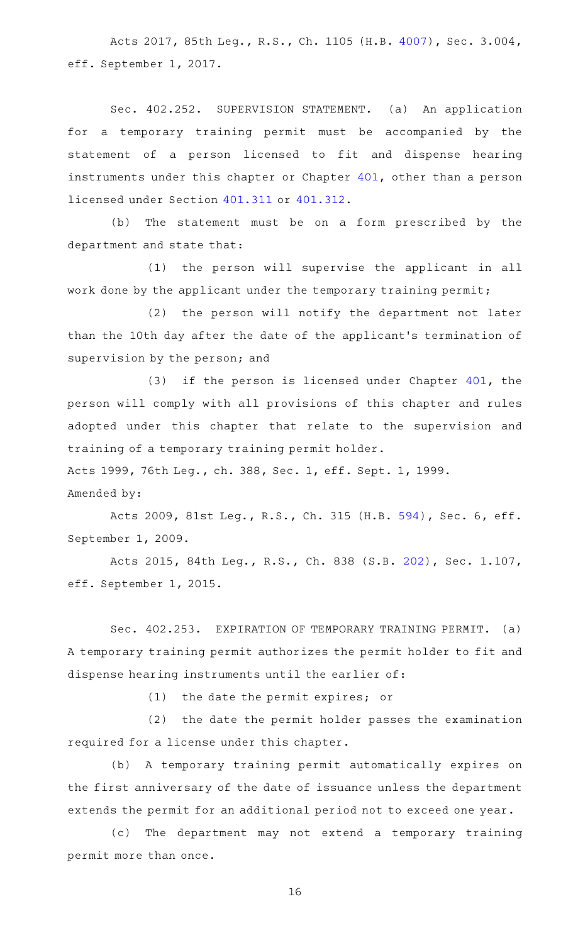Acts 2017, 85th Leg., R.S., Ch. 1105 (H.B. [4007](http://www.legis.state.tx.us/tlodocs/85R/billtext/html/HB04007F.HTM)), Sec. 3.004, eff. September 1, 2017.

Sec. 402.252. SUPERVISION STATEMENT. (a) An application for a temporary training permit must be accompanied by the statement of a person licensed to fit and dispense hearing instruments under this chapter or Chapter [401](http://www.statutes.legis.state.tx.us/GetStatute.aspx?Code=OC&Value=401), other than a person licensed under Section [401.311](http://www.statutes.legis.state.tx.us/GetStatute.aspx?Code=OC&Value=401.311) or [401.312.](http://www.statutes.legis.state.tx.us/GetStatute.aspx?Code=OC&Value=401.312)

(b) The statement must be on a form prescribed by the department and state that:

(1) the person will supervise the applicant in all work done by the applicant under the temporary training permit;

(2) the person will notify the department not later than the 10th day after the date of the applicant 's termination of supervision by the person; and

 $(3)$  if the person is licensed under Chapter  $401$ , the person will comply with all provisions of this chapter and rules adopted under this chapter that relate to the supervision and training of a temporary training permit holder.

Acts 1999, 76th Leg., ch. 388, Sec. 1, eff. Sept. 1, 1999.

Amended by:

Acts 2009, 81st Leg., R.S., Ch. 315 (H.B. [594](http://www.legis.state.tx.us/tlodocs/81R/billtext/html/HB00594F.HTM)), Sec. 6, eff. September 1, 2009.

Acts 2015, 84th Leg., R.S., Ch. 838 (S.B. [202](http://www.legis.state.tx.us/tlodocs/84R/billtext/html/SB00202F.HTM)), Sec. 1.107, eff. September 1, 2015.

Sec. 402.253. EXPIRATION OF TEMPORARY TRAINING PERMIT. (a) A temporary training permit authorizes the permit holder to fit and dispense hearing instruments until the earlier of:

 $(1)$  the date the permit expires; or

(2) the date the permit holder passes the examination required for a license under this chapter.

(b) A temporary training permit automatically expires on the first anniversary of the date of issuance unless the department extends the permit for an additional period not to exceed one year.

(c) The department may not extend a temporary training permit more than once.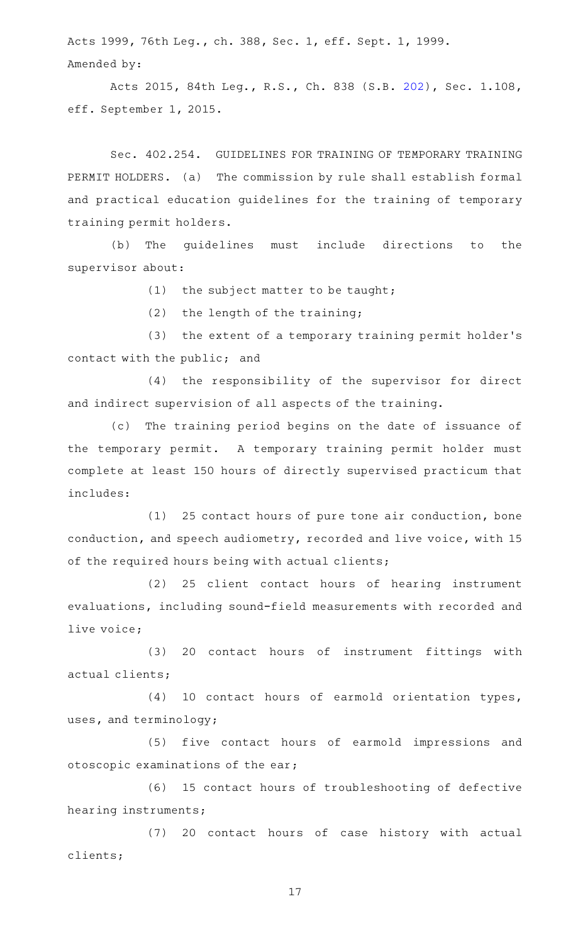Acts 1999, 76th Leg., ch. 388, Sec. 1, eff. Sept. 1, 1999. Amended by:

Acts 2015, 84th Leg., R.S., Ch. 838 (S.B. [202](http://www.legis.state.tx.us/tlodocs/84R/billtext/html/SB00202F.HTM)), Sec. 1.108, eff. September 1, 2015.

Sec. 402.254. GUIDELINES FOR TRAINING OF TEMPORARY TRAINING PERMIT HOLDERS. (a) The commission by rule shall establish formal and practical education guidelines for the training of temporary training permit holders.

(b) The guidelines must include directions to the supervisor about:

(1) the subject matter to be taught;

 $(2)$  the length of the training;

(3) the extent of a temporary training permit holder's contact with the public; and

(4) the responsibility of the supervisor for direct and indirect supervision of all aspects of the training.

(c) The training period begins on the date of issuance of the temporary permit. A temporary training permit holder must complete at least 150 hours of directly supervised practicum that includes:

 $(1)$  25 contact hours of pure tone air conduction, bone conduction, and speech audiometry, recorded and live voice, with 15 of the required hours being with actual clients;

(2) 25 client contact hours of hearing instrument evaluations, including sound-field measurements with recorded and live voice;

(3) 20 contact hours of instrument fittings with actual clients;

(4) 10 contact hours of earmold orientation types, uses, and terminology;

(5) five contact hours of earmold impressions and otoscopic examinations of the ear;

(6) 15 contact hours of troubleshooting of defective hearing instruments;

(7) 20 contact hours of case history with actual clients;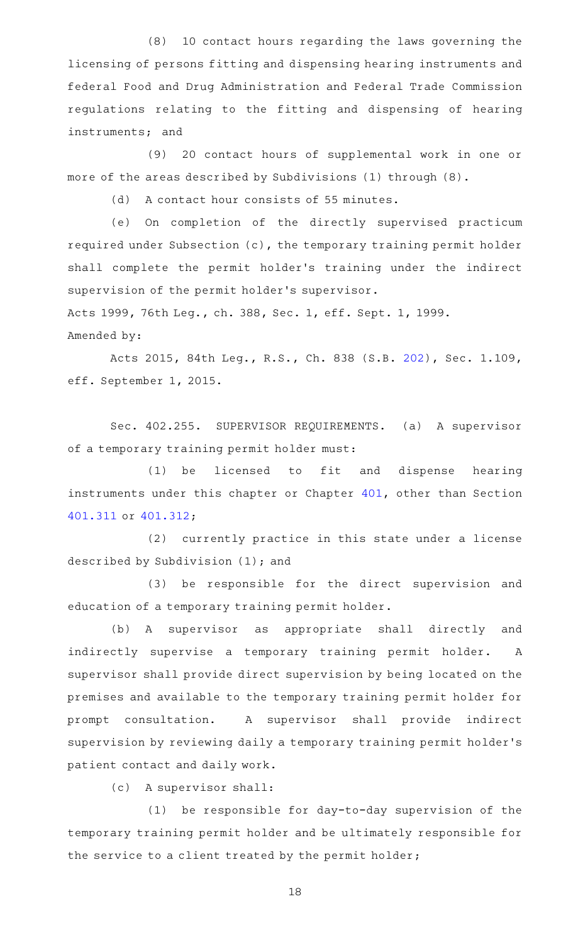(8) 10 contact hours regarding the laws governing the licensing of persons fitting and dispensing hearing instruments and federal Food and Drug Administration and Federal Trade Commission regulations relating to the fitting and dispensing of hearing instruments; and

(9) 20 contact hours of supplemental work in one or more of the areas described by Subdivisions (1) through (8).

(d) A contact hour consists of 55 minutes.

(e) On completion of the directly supervised practicum required under Subsection (c), the temporary training permit holder shall complete the permit holder 's training under the indirect supervision of the permit holder 's supervisor.

Acts 1999, 76th Leg., ch. 388, Sec. 1, eff. Sept. 1, 1999. Amended by:

Acts 2015, 84th Leg., R.S., Ch. 838 (S.B. [202](http://www.legis.state.tx.us/tlodocs/84R/billtext/html/SB00202F.HTM)), Sec. 1.109, eff. September 1, 2015.

Sec. 402.255. SUPERVISOR REQUIREMENTS. (a) A supervisor of a temporary training permit holder must:

(1) be licensed to fit and dispense hearing instruments under this chapter or Chapter [401,](http://www.statutes.legis.state.tx.us/GetStatute.aspx?Code=OC&Value=401) other than Section [401.311](http://www.statutes.legis.state.tx.us/GetStatute.aspx?Code=OC&Value=401.311) or [401.312;](http://www.statutes.legis.state.tx.us/GetStatute.aspx?Code=OC&Value=401.312)

(2) currently practice in this state under a license described by Subdivision (1); and

(3) be responsible for the direct supervision and education of a temporary training permit holder.

(b) A supervisor as appropriate shall directly and indirectly supervise a temporary training permit holder. A supervisor shall provide direct supervision by being located on the premises and available to the temporary training permit holder for prompt consultation. A supervisor shall provide indirect supervision by reviewing daily a temporary training permit holder 's patient contact and daily work.

(c) A supervisor shall:

 $(1)$  be responsible for day-to-day supervision of the temporary training permit holder and be ultimately responsible for the service to a client treated by the permit holder;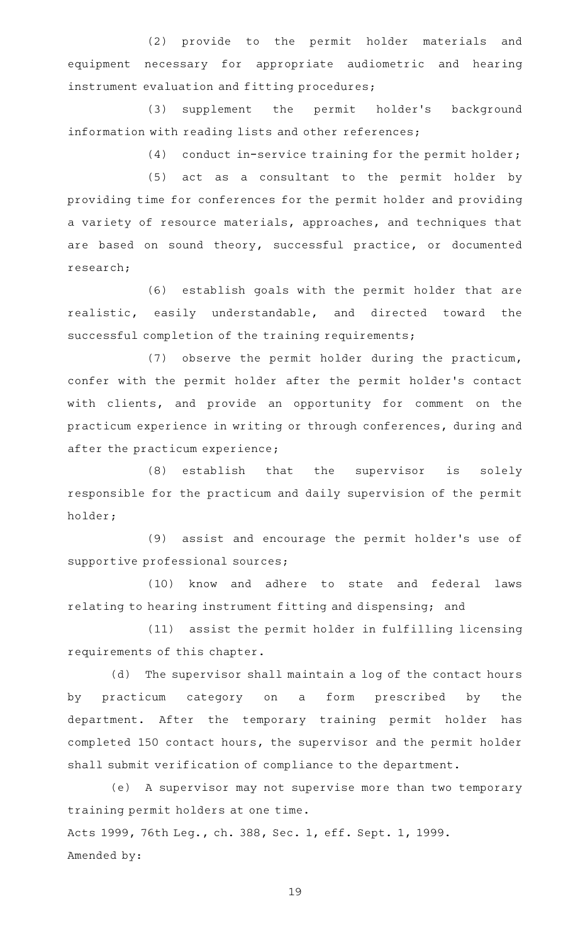(2) provide to the permit holder materials and equipment necessary for appropriate audiometric and hearing instrument evaluation and fitting procedures;

(3) supplement the permit holder's background information with reading lists and other references;

 $(4)$  conduct in-service training for the permit holder;

(5) act as a consultant to the permit holder by providing time for conferences for the permit holder and providing a variety of resource materials, approaches, and techniques that are based on sound theory, successful practice, or documented research;

(6) establish goals with the permit holder that are realistic, easily understandable, and directed toward the successful completion of the training requirements;

(7) observe the permit holder during the practicum, confer with the permit holder after the permit holder 's contact with clients, and provide an opportunity for comment on the practicum experience in writing or through conferences, during and after the practicum experience;

(8) establish that the supervisor is solely responsible for the practicum and daily supervision of the permit holder;

(9) assist and encourage the permit holder's use of supportive professional sources;

(10) know and adhere to state and federal laws relating to hearing instrument fitting and dispensing; and

(11) assist the permit holder in fulfilling licensing requirements of this chapter.

(d) The supervisor shall maintain a log of the contact hours by practicum category on a form prescribed by the department. After the temporary training permit holder has completed 150 contact hours, the supervisor and the permit holder shall submit verification of compliance to the department.

(e) A supervisor may not supervise more than two temporary training permit holders at one time. Acts 1999, 76th Leg., ch. 388, Sec. 1, eff. Sept. 1, 1999. Amended by: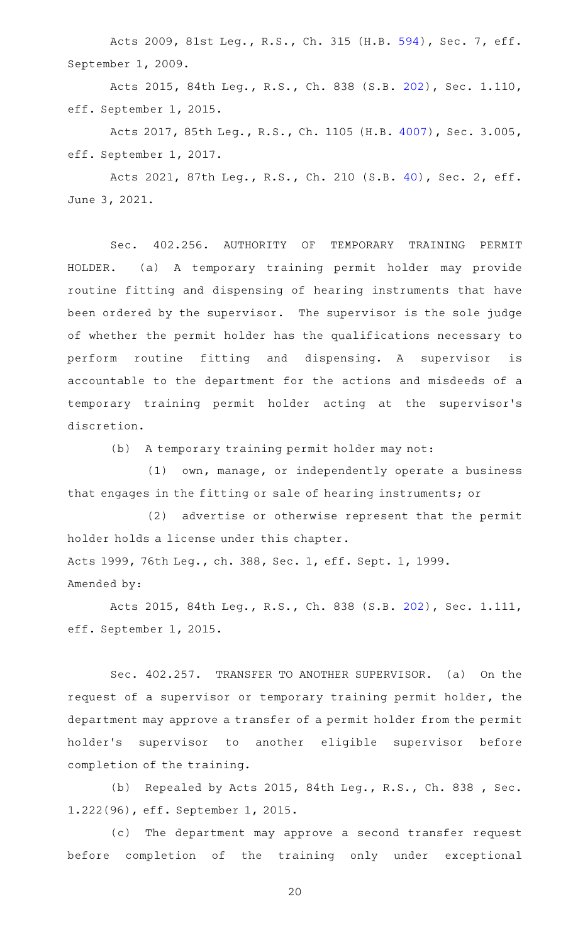Acts 2009, 81st Leg., R.S., Ch. 315 (H.B. [594](http://www.legis.state.tx.us/tlodocs/81R/billtext/html/HB00594F.HTM)), Sec. 7, eff. September 1, 2009.

Acts 2015, 84th Leg., R.S., Ch. 838 (S.B. [202](http://www.legis.state.tx.us/tlodocs/84R/billtext/html/SB00202F.HTM)), Sec. 1.110, eff. September 1, 2015.

Acts 2017, 85th Leg., R.S., Ch. 1105 (H.B. [4007](http://www.legis.state.tx.us/tlodocs/85R/billtext/html/HB04007F.HTM)), Sec. 3.005, eff. September 1, 2017.

Acts 2021, 87th Leg., R.S., Ch. 210 (S.B. [40](http://www.legis.state.tx.us/tlodocs/87R/billtext/html/SB00040F.HTM)), Sec. 2, eff. June 3, 2021.

Sec. 402.256. AUTHORITY OF TEMPORARY TRAINING PERMIT HOLDER. (a) A temporary training permit holder may provide routine fitting and dispensing of hearing instruments that have been ordered by the supervisor. The supervisor is the sole judge of whether the permit holder has the qualifications necessary to perform routine fitting and dispensing. A supervisor is accountable to the department for the actions and misdeeds of a temporary training permit holder acting at the supervisor 's discretion.

(b) A temporary training permit holder may not:

(1) own, manage, or independently operate a business that engages in the fitting or sale of hearing instruments; or

 $(2)$  advertise or otherwise represent that the permit holder holds a license under this chapter. Acts 1999, 76th Leg., ch. 388, Sec. 1, eff. Sept. 1, 1999. Amended by:

Acts 2015, 84th Leg., R.S., Ch. 838 (S.B. [202](http://www.legis.state.tx.us/tlodocs/84R/billtext/html/SB00202F.HTM)), Sec. 1.111, eff. September 1, 2015.

Sec. 402.257. TRANSFER TO ANOTHER SUPERVISOR. (a) On the request of a supervisor or temporary training permit holder, the department may approve a transfer of a permit holder from the permit holder's supervisor to another eligible supervisor before completion of the training.

(b) Repealed by Acts 2015, 84th Leg., R.S., Ch. 838 , Sec. 1.222(96), eff. September 1, 2015.

(c) The department may approve a second transfer request before completion of the training only under exceptional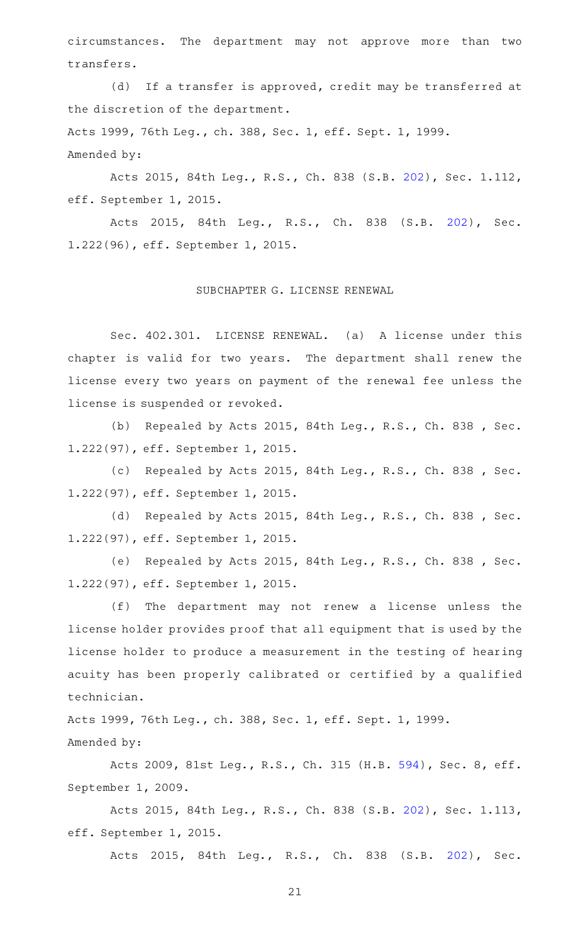circumstances. The department may not approve more than two transfers.

(d) If a transfer is approved, credit may be transferred at the discretion of the department. Acts 1999, 76th Leg., ch. 388, Sec. 1, eff. Sept. 1, 1999.

Amended by:

Acts 2015, 84th Leg., R.S., Ch. 838 (S.B. [202](http://www.legis.state.tx.us/tlodocs/84R/billtext/html/SB00202F.HTM)), Sec. 1.112, eff. September 1, 2015.

Acts 2015, 84th Leg., R.S., Ch. 838 (S.B. [202\)](http://www.legis.state.tx.us/tlodocs/84R/billtext/html/SB00202F.HTM), Sec. 1.222(96), eff. September 1, 2015.

#### SUBCHAPTER G. LICENSE RENEWAL

Sec. 402.301. LICENSE RENEWAL. (a) A license under this chapter is valid for two years. The department shall renew the license every two years on payment of the renewal fee unless the license is suspended or revoked.

(b) Repealed by Acts 2015, 84th Leg., R.S., Ch. 838, Sec. 1.222(97), eff. September 1, 2015.

(c) Repealed by Acts 2015, 84th Leg., R.S., Ch. 838 , Sec. 1.222(97), eff. September 1, 2015.

(d) Repealed by Acts 2015, 84th Leg., R.S., Ch. 838 , Sec. 1.222(97), eff. September 1, 2015.

(e) Repealed by Acts 2015, 84th Leg., R.S., Ch. 838 , Sec. 1.222(97), eff. September 1, 2015.

(f) The department may not renew a license unless the license holder provides proof that all equipment that is used by the license holder to produce a measurement in the testing of hearing acuity has been properly calibrated or certified by a qualified technician.

Acts 1999, 76th Leg., ch. 388, Sec. 1, eff. Sept. 1, 1999. Amended by:

Acts 2009, 81st Leg., R.S., Ch. 315 (H.B. [594](http://www.legis.state.tx.us/tlodocs/81R/billtext/html/HB00594F.HTM)), Sec. 8, eff. September 1, 2009.

Acts 2015, 84th Leg., R.S., Ch. 838 (S.B. [202](http://www.legis.state.tx.us/tlodocs/84R/billtext/html/SB00202F.HTM)), Sec. 1.113, eff. September 1, 2015.

Acts 2015, 84th Leg., R.S., Ch. 838 (S.B. [202\)](http://www.legis.state.tx.us/tlodocs/84R/billtext/html/SB00202F.HTM), Sec.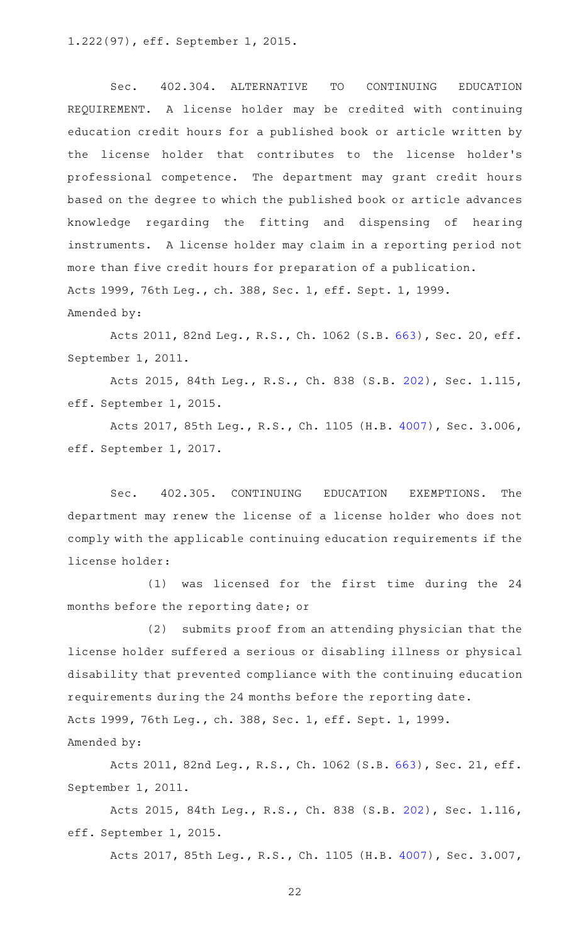1.222(97), eff. September 1, 2015.

Sec. 402.304. ALTERNATIVE TO CONTINUING EDUCATION REQUIREMENT. A license holder may be credited with continuing education credit hours for a published book or article written by the license holder that contributes to the license holder 's professional competence. The department may grant credit hours based on the degree to which the published book or article advances knowledge regarding the fitting and dispensing of hearing instruments. A license holder may claim in a reporting period not more than five credit hours for preparation of a publication. Acts 1999, 76th Leg., ch. 388, Sec. 1, eff. Sept. 1, 1999. Amended by:

Acts 2011, 82nd Leg., R.S., Ch. 1062 (S.B. [663\)](http://www.legis.state.tx.us/tlodocs/82R/billtext/html/SB00663F.HTM), Sec. 20, eff. September 1, 2011.

Acts 2015, 84th Leg., R.S., Ch. 838 (S.B. [202](http://www.legis.state.tx.us/tlodocs/84R/billtext/html/SB00202F.HTM)), Sec. 1.115, eff. September 1, 2015.

Acts 2017, 85th Leg., R.S., Ch. 1105 (H.B. [4007](http://www.legis.state.tx.us/tlodocs/85R/billtext/html/HB04007F.HTM)), Sec. 3.006, eff. September 1, 2017.

Sec. 402.305. CONTINUING EDUCATION EXEMPTIONS. The department may renew the license of a license holder who does not comply with the applicable continuing education requirements if the license holder:

(1) was licensed for the first time during the 24 months before the reporting date; or

 $(2)$  submits proof from an attending physician that the license holder suffered a serious or disabling illness or physical disability that prevented compliance with the continuing education requirements during the 24 months before the reporting date. Acts 1999, 76th Leg., ch. 388, Sec. 1, eff. Sept. 1, 1999.

Amended by:

Acts 2011, 82nd Leg., R.S., Ch. 1062 (S.B. [663\)](http://www.legis.state.tx.us/tlodocs/82R/billtext/html/SB00663F.HTM), Sec. 21, eff. September 1, 2011.

Acts 2015, 84th Leg., R.S., Ch. 838 (S.B. [202](http://www.legis.state.tx.us/tlodocs/84R/billtext/html/SB00202F.HTM)), Sec. 1.116, eff. September 1, 2015.

Acts 2017, 85th Leg., R.S., Ch. 1105 (H.B. [4007](http://www.legis.state.tx.us/tlodocs/85R/billtext/html/HB04007F.HTM)), Sec. 3.007,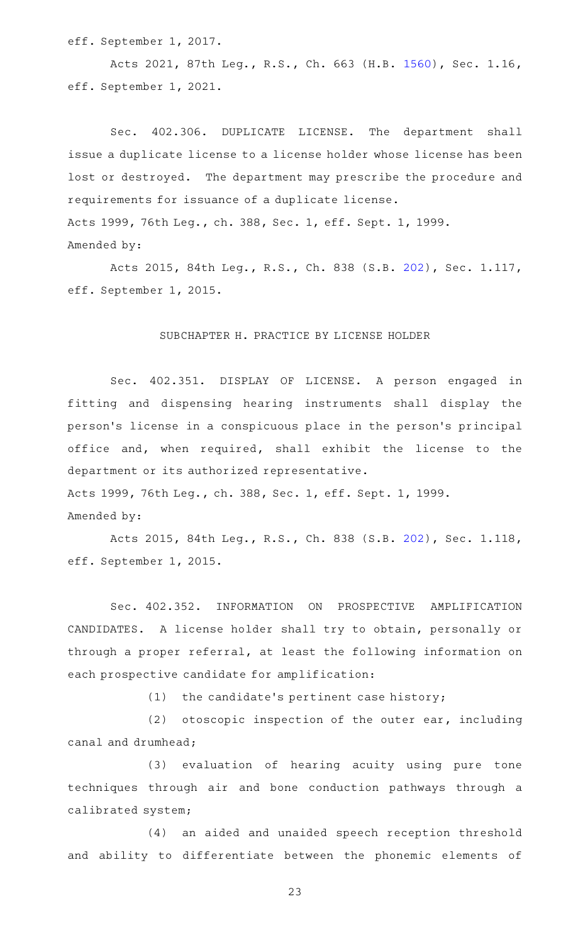eff. September 1, 2017.

Acts 2021, 87th Leg., R.S., Ch. 663 (H.B. [1560\)](http://www.legis.state.tx.us/tlodocs/87R/billtext/html/HB01560F.HTM), Sec. 1.16, eff. September 1, 2021.

Sec. 402.306. DUPLICATE LICENSE. The department shall issue a duplicate license to a license holder whose license has been lost or destroyed. The department may prescribe the procedure and requirements for issuance of a duplicate license. Acts 1999, 76th Leg., ch. 388, Sec. 1, eff. Sept. 1, 1999. Amended by:

Acts 2015, 84th Leg., R.S., Ch. 838 (S.B. [202](http://www.legis.state.tx.us/tlodocs/84R/billtext/html/SB00202F.HTM)), Sec. 1.117, eff. September 1, 2015.

#### SUBCHAPTER H. PRACTICE BY LICENSE HOLDER

Sec. 402.351. DISPLAY OF LICENSE. A person engaged in fitting and dispensing hearing instruments shall display the person 's license in a conspicuous place in the person 's principal office and, when required, shall exhibit the license to the department or its authorized representative. Acts 1999, 76th Leg., ch. 388, Sec. 1, eff. Sept. 1, 1999.

Amended by:

Acts 2015, 84th Leg., R.S., Ch. 838 (S.B. [202](http://www.legis.state.tx.us/tlodocs/84R/billtext/html/SB00202F.HTM)), Sec. 1.118, eff. September 1, 2015.

Sec. 402.352. INFORMATION ON PROSPECTIVE AMPLIFICATION CANDIDATES. A license holder shall try to obtain, personally or through a proper referral, at least the following information on each prospective candidate for amplification:

 $(1)$  the candidate's pertinent case history;

(2) otoscopic inspection of the outer ear, including canal and drumhead;

(3) evaluation of hearing acuity using pure tone techniques through air and bone conduction pathways through a calibrated system;

(4) an aided and unaided speech reception threshold and ability to differentiate between the phonemic elements of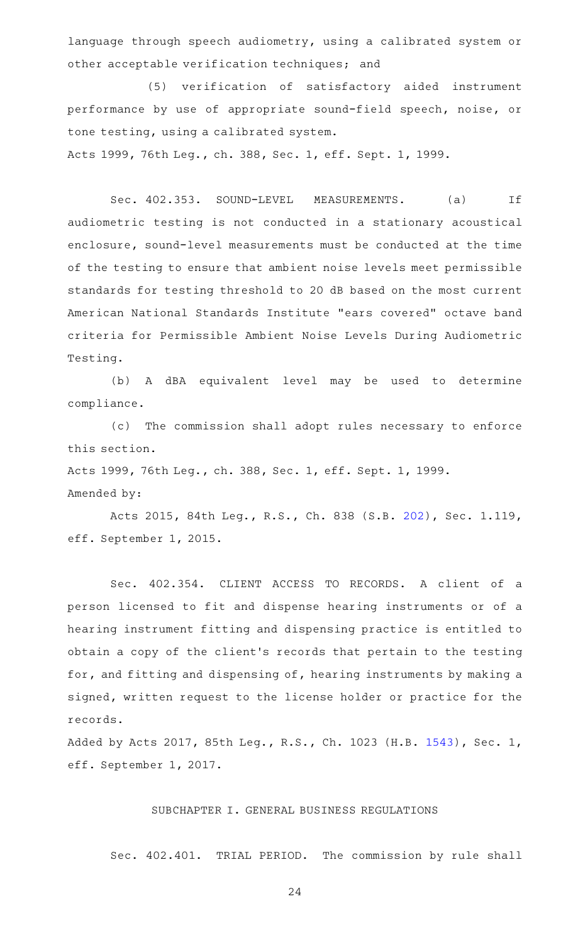language through speech audiometry, using a calibrated system or other acceptable verification techniques; and

(5) verification of satisfactory aided instrument performance by use of appropriate sound-field speech, noise, or tone testing, using a calibrated system.

Acts 1999, 76th Leg., ch. 388, Sec. 1, eff. Sept. 1, 1999.

Sec. 402.353. SOUND-LEVEL MEASUREMENTS. (a) If audiometric testing is not conducted in a stationary acoustical enclosure, sound-level measurements must be conducted at the time of the testing to ensure that ambient noise levels meet permissible standards for testing threshold to 20 dB based on the most current American National Standards Institute "ears covered" octave band criteria for Permissible Ambient Noise Levels During Audiometric Testing.

(b)AAA dBA equivalent level may be used to determine compliance.

(c) The commission shall adopt rules necessary to enforce this section.

Acts 1999, 76th Leg., ch. 388, Sec. 1, eff. Sept. 1, 1999.

#### Amended by:

Acts 2015, 84th Leg., R.S., Ch. 838 (S.B. [202](http://www.legis.state.tx.us/tlodocs/84R/billtext/html/SB00202F.HTM)), Sec. 1.119, eff. September 1, 2015.

Sec. 402.354. CLIENT ACCESS TO RECORDS. A client of a person licensed to fit and dispense hearing instruments or of a hearing instrument fitting and dispensing practice is entitled to obtain a copy of the client 's records that pertain to the testing for, and fitting and dispensing of, hearing instruments by making a signed, written request to the license holder or practice for the records.

Added by Acts 2017, 85th Leg., R.S., Ch. 1023 (H.B. [1543\)](http://www.legis.state.tx.us/tlodocs/85R/billtext/html/HB01543F.HTM), Sec. 1, eff. September 1, 2017.

#### SUBCHAPTER I. GENERAL BUSINESS REGULATIONS

Sec. 402.401. TRIAL PERIOD. The commission by rule shall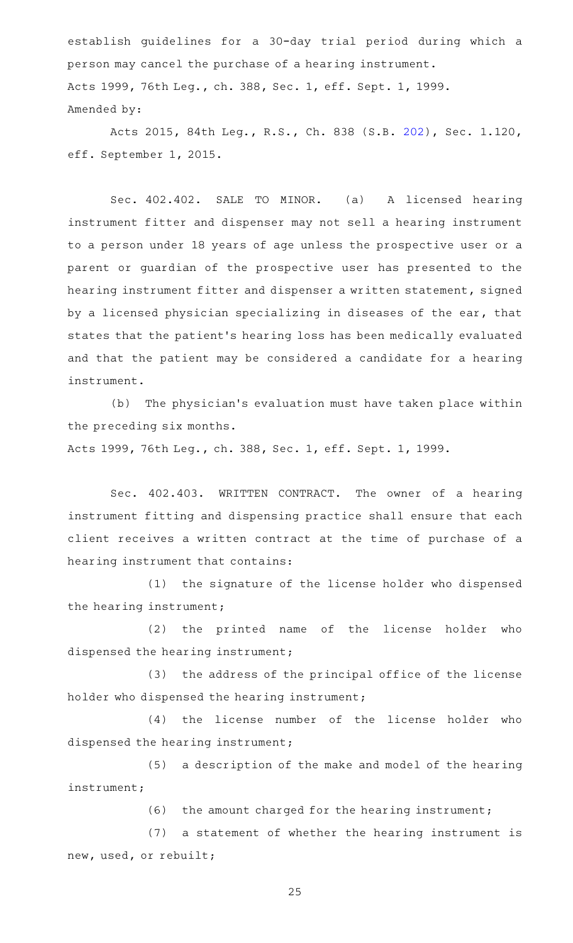establish guidelines for a 30-day trial period during which a person may cancel the purchase of a hearing instrument. Acts 1999, 76th Leg., ch. 388, Sec. 1, eff. Sept. 1, 1999. Amended by:

Acts 2015, 84th Leg., R.S., Ch. 838 (S.B. [202](http://www.legis.state.tx.us/tlodocs/84R/billtext/html/SB00202F.HTM)), Sec. 1.120, eff. September 1, 2015.

Sec. 402.402. SALE TO MINOR. (a) A licensed hearing instrument fitter and dispenser may not sell a hearing instrument to a person under 18 years of age unless the prospective user or a parent or guardian of the prospective user has presented to the hearing instrument fitter and dispenser a written statement, signed by a licensed physician specializing in diseases of the ear, that states that the patient 's hearing loss has been medically evaluated and that the patient may be considered a candidate for a hearing instrument.

(b) The physician's evaluation must have taken place within the preceding six months.

Acts 1999, 76th Leg., ch. 388, Sec. 1, eff. Sept. 1, 1999.

Sec. 402.403. WRITTEN CONTRACT. The owner of a hearing instrument fitting and dispensing practice shall ensure that each client receives a written contract at the time of purchase of a hearing instrument that contains:

(1) the signature of the license holder who dispensed the hearing instrument;

(2) the printed name of the license holder who dispensed the hearing instrument;

(3) the address of the principal office of the license holder who dispensed the hearing instrument;

(4) the license number of the license holder who dispensed the hearing instrument;

(5) a description of the make and model of the hearing instrument;

 $(6)$  the amount charged for the hearing instrument;

(7) a statement of whether the hearing instrument is new, used, or rebuilt;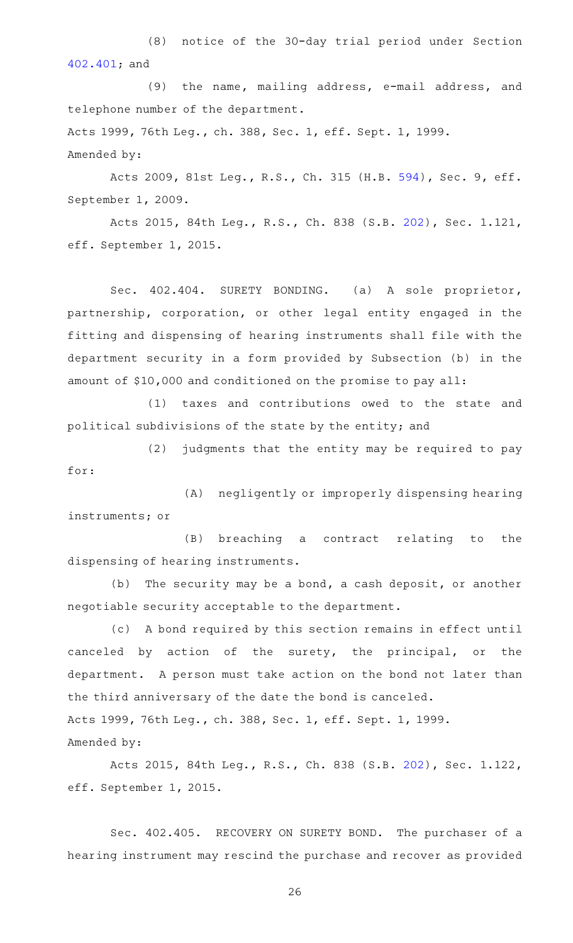(8) notice of the 30-day trial period under Section [402.401;](http://www.statutes.legis.state.tx.us/GetStatute.aspx?Code=OC&Value=402.401) and

(9) the name, mailing address, e-mail address, and telephone number of the department. Acts 1999, 76th Leg., ch. 388, Sec. 1, eff. Sept. 1, 1999. Amended by:

Acts 2009, 81st Leg., R.S., Ch. 315 (H.B. [594](http://www.legis.state.tx.us/tlodocs/81R/billtext/html/HB00594F.HTM)), Sec. 9, eff. September 1, 2009.

Acts 2015, 84th Leg., R.S., Ch. 838 (S.B. [202](http://www.legis.state.tx.us/tlodocs/84R/billtext/html/SB00202F.HTM)), Sec. 1.121, eff. September 1, 2015.

Sec. 402.404. SURETY BONDING. (a) A sole proprietor, partnership, corporation, or other legal entity engaged in the fitting and dispensing of hearing instruments shall file with the department security in a form provided by Subsection (b) in the amount of \$10,000 and conditioned on the promise to pay all:

(1) taxes and contributions owed to the state and political subdivisions of the state by the entity; and

 $(2)$  judgments that the entity may be required to pay for:

(A) negligently or improperly dispensing hearing instruments; or

(B) breaching a contract relating to the dispensing of hearing instruments.

(b) The security may be a bond, a cash deposit, or another negotiable security acceptable to the department.

(c)AAA bond required by this section remains in effect until canceled by action of the surety, the principal, or the department. A person must take action on the bond not later than the third anniversary of the date the bond is canceled. Acts 1999, 76th Leg., ch. 388, Sec. 1, eff. Sept. 1, 1999. Amended by:

Acts 2015, 84th Leg., R.S., Ch. 838 (S.B. [202](http://www.legis.state.tx.us/tlodocs/84R/billtext/html/SB00202F.HTM)), Sec. 1.122, eff. September 1, 2015.

Sec. 402.405. RECOVERY ON SURETY BOND. The purchaser of a hearing instrument may rescind the purchase and recover as provided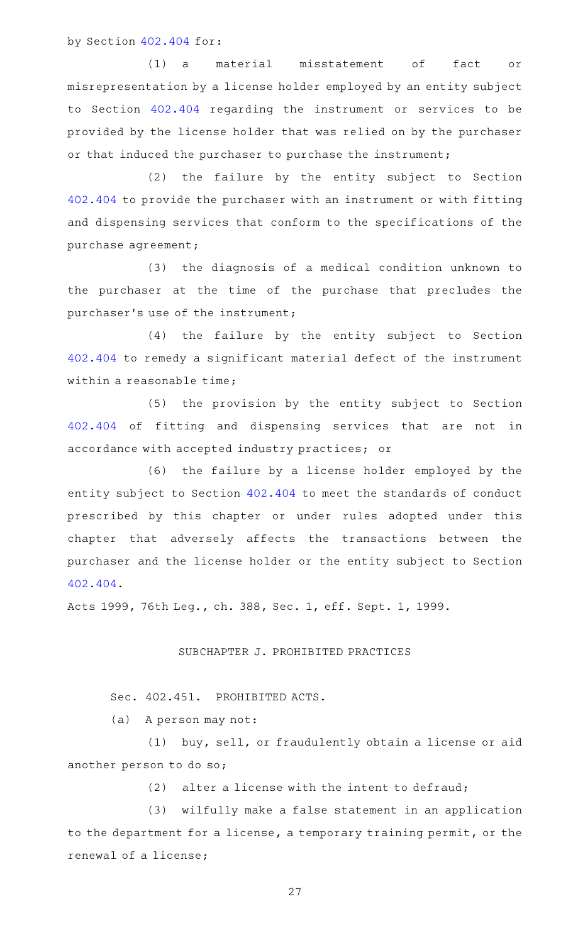by Section [402.404](http://www.statutes.legis.state.tx.us/GetStatute.aspx?Code=OC&Value=402.404) for:

(1) a material misstatement of fact or misrepresentation by a license holder employed by an entity subject to Section [402.404](http://www.statutes.legis.state.tx.us/GetStatute.aspx?Code=OC&Value=402.404) regarding the instrument or services to be provided by the license holder that was relied on by the purchaser or that induced the purchaser to purchase the instrument;

(2) the failure by the entity subject to Section [402.404](http://www.statutes.legis.state.tx.us/GetStatute.aspx?Code=OC&Value=402.404) to provide the purchaser with an instrument or with fitting and dispensing services that conform to the specifications of the purchase agreement;

(3) the diagnosis of a medical condition unknown to the purchaser at the time of the purchase that precludes the purchaser 's use of the instrument;

(4) the failure by the entity subject to Section [402.404](http://www.statutes.legis.state.tx.us/GetStatute.aspx?Code=OC&Value=402.404) to remedy a significant material defect of the instrument within a reasonable time;

(5) the provision by the entity subject to Section [402.404](http://www.statutes.legis.state.tx.us/GetStatute.aspx?Code=OC&Value=402.404) of fitting and dispensing services that are not in accordance with accepted industry practices; or

(6) the failure by a license holder employed by the entity subject to Section [402.404](http://www.statutes.legis.state.tx.us/GetStatute.aspx?Code=OC&Value=402.404) to meet the standards of conduct prescribed by this chapter or under rules adopted under this chapter that adversely affects the transactions between the purchaser and the license holder or the entity subject to Section [402.404.](http://www.statutes.legis.state.tx.us/GetStatute.aspx?Code=OC&Value=402.404)

Acts 1999, 76th Leg., ch. 388, Sec. 1, eff. Sept. 1, 1999.

SUBCHAPTER J. PROHIBITED PRACTICES

Sec. 402.451. PROHIBITED ACTS.

(a) A person may not:

(1) buy, sell, or fraudulently obtain a license or aid another person to do so;

 $(2)$  alter a license with the intent to defraud;

(3) wilfully make a false statement in an application to the department for a license, a temporary training permit, or the renewal of a license;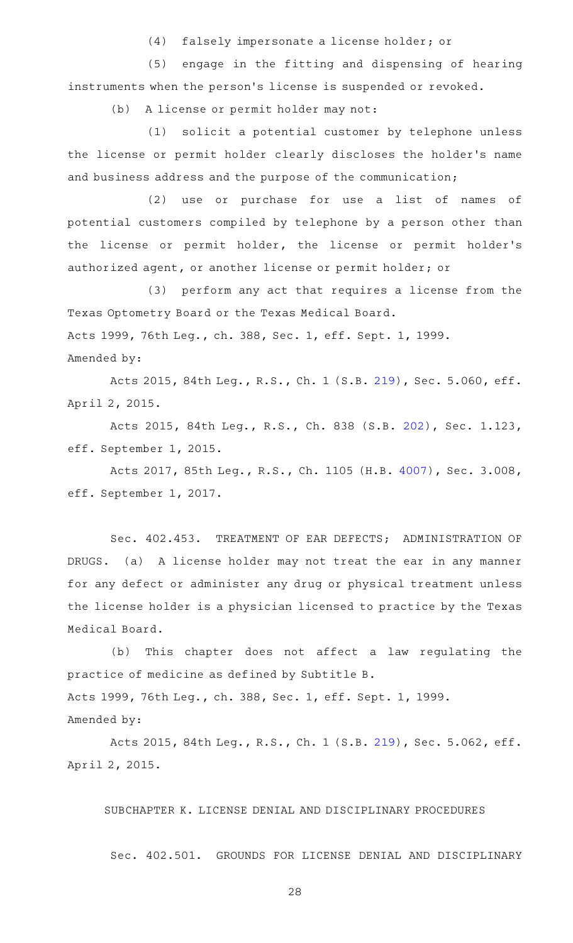(4) falsely impersonate a license holder; or

(5) engage in the fitting and dispensing of hearing instruments when the person 's license is suspended or revoked.

(b) A license or permit holder may not:

(1) solicit a potential customer by telephone unless the license or permit holder clearly discloses the holder 's name and business address and the purpose of the communication;

(2) use or purchase for use a list of names of potential customers compiled by telephone by a person other than the license or permit holder, the license or permit holder 's authorized agent, or another license or permit holder; or

(3) perform any act that requires a license from the Texas Optometry Board or the Texas Medical Board. Acts 1999, 76th Leg., ch. 388, Sec. 1, eff. Sept. 1, 1999. Amended by:

Acts 2015, 84th Leg., R.S., Ch. 1 (S.B. [219](http://www.legis.state.tx.us/tlodocs/84R/billtext/html/SB00219F.HTM)), Sec. 5.060, eff. April 2, 2015.

Acts 2015, 84th Leg., R.S., Ch. 838 (S.B. [202](http://www.legis.state.tx.us/tlodocs/84R/billtext/html/SB00202F.HTM)), Sec. 1.123, eff. September 1, 2015.

Acts 2017, 85th Leg., R.S., Ch. 1105 (H.B. [4007](http://www.legis.state.tx.us/tlodocs/85R/billtext/html/HB04007F.HTM)), Sec. 3.008, eff. September 1, 2017.

Sec. 402.453. TREATMENT OF EAR DEFECTS; ADMINISTRATION OF DRUGS. (a) A license holder may not treat the ear in any manner for any defect or administer any drug or physical treatment unless the license holder is a physician licensed to practice by the Texas Medical Board.

(b) This chapter does not affect a law regulating the practice of medicine as defined by Subtitle B. Acts 1999, 76th Leg., ch. 388, Sec. 1, eff. Sept. 1, 1999. Amended by:

Acts 2015, 84th Leg., R.S., Ch. 1 (S.B. [219](http://www.legis.state.tx.us/tlodocs/84R/billtext/html/SB00219F.HTM)), Sec. 5.062, eff. April 2, 2015.

SUBCHAPTER K. LICENSE DENIAL AND DISCIPLINARY PROCEDURES

Sec. 402.501. GROUNDS FOR LICENSE DENIAL AND DISCIPLINARY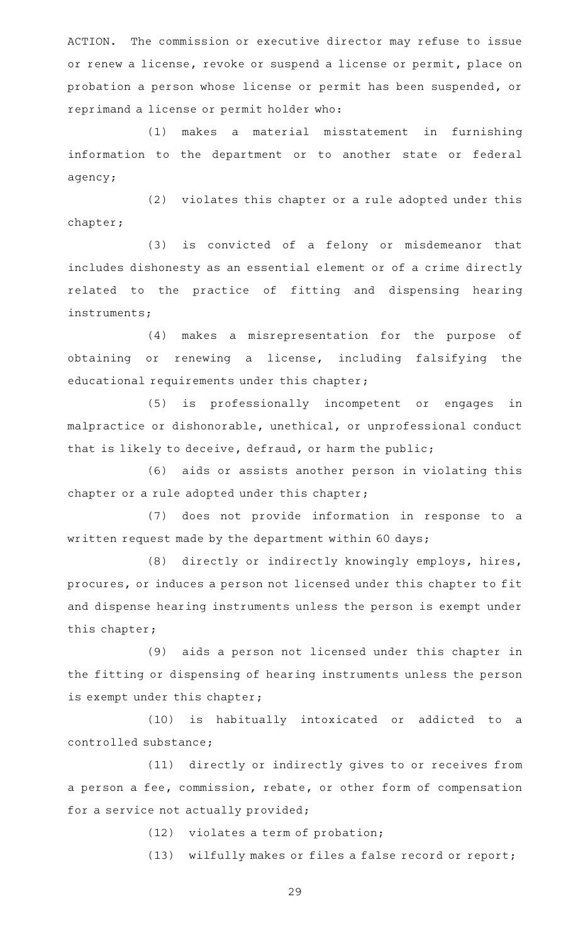ACTION. The commission or executive director may refuse to issue or renew a license, revoke or suspend a license or permit, place on probation a person whose license or permit has been suspended, or reprimand a license or permit holder who:

(1) makes a material misstatement in furnishing information to the department or to another state or federal agency;

(2) violates this chapter or a rule adopted under this chapter;

(3) is convicted of a felony or misdemeanor that includes dishonesty as an essential element or of a crime directly related to the practice of fitting and dispensing hearing instruments;

(4) makes a misrepresentation for the purpose of obtaining or renewing a license, including falsifying the educational requirements under this chapter;

(5) is professionally incompetent or engages in malpractice or dishonorable, unethical, or unprofessional conduct that is likely to deceive, defraud, or harm the public;

(6) aids or assists another person in violating this chapter or a rule adopted under this chapter;

(7) does not provide information in response to a written request made by the department within 60 days;

(8) directly or indirectly knowingly employs, hires, procures, or induces a person not licensed under this chapter to fit and dispense hearing instruments unless the person is exempt under this chapter;

(9) aids a person not licensed under this chapter in the fitting or dispensing of hearing instruments unless the person is exempt under this chapter;

(10) is habitually intoxicated or addicted to a controlled substance;

(11) directly or indirectly gives to or receives from a person a fee, commission, rebate, or other form of compensation for a service not actually provided;

 $(12)$  violates a term of probation;

(13) wilfully makes or files a false record or report;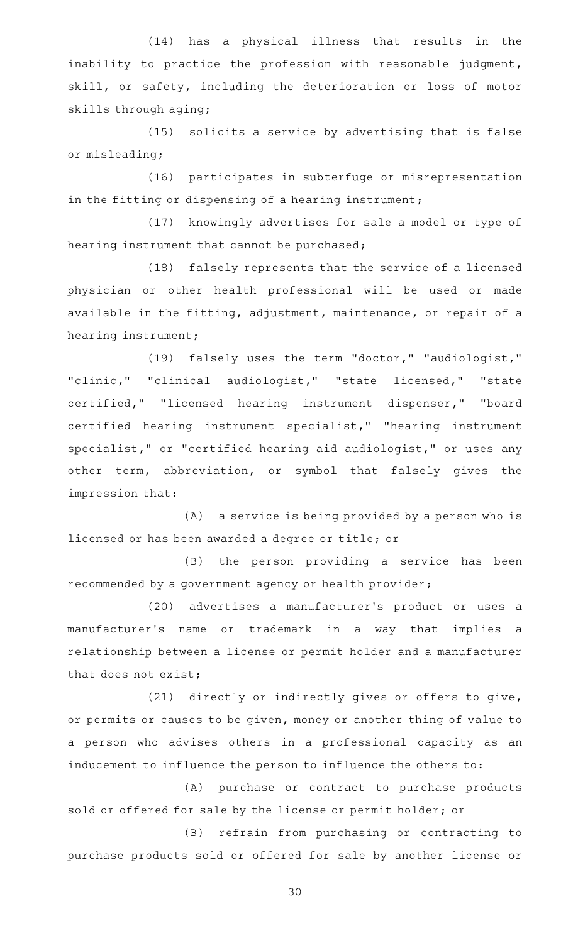(14) has a physical illness that results in the inability to practice the profession with reasonable judgment, skill, or safety, including the deterioration or loss of motor skills through aging;

 $(15)$  solicits a service by advertising that is false or misleading;

(16) participates in subterfuge or misrepresentation in the fitting or dispensing of a hearing instrument;

(17) knowingly advertises for sale a model or type of hearing instrument that cannot be purchased;

(18) falsely represents that the service of a licensed physician or other health professional will be used or made available in the fitting, adjustment, maintenance, or repair of a hearing instrument;

(19) falsely uses the term "doctor," "audiologist," "clinic," "clinical audiologist," "state licensed," "state certified," "licensed hearing instrument dispenser," "board certified hearing instrument specialist," "hearing instrument specialist," or "certified hearing aid audiologist," or uses any other term, abbreviation, or symbol that falsely gives the impression that:

(A) a service is being provided by a person who is licensed or has been awarded a degree or title; or

(B) the person providing a service has been recommended by a government agency or health provider;

(20) advertises a manufacturer's product or uses a manufacturer 's name or trademark in a way that implies a relationship between a license or permit holder and a manufacturer that does not exist;

(21) directly or indirectly gives or offers to give, or permits or causes to be given, money or another thing of value to a person who advises others in a professional capacity as an inducement to influence the person to influence the others to:

(A) purchase or contract to purchase products sold or offered for sale by the license or permit holder; or

(B) refrain from purchasing or contracting to purchase products sold or offered for sale by another license or